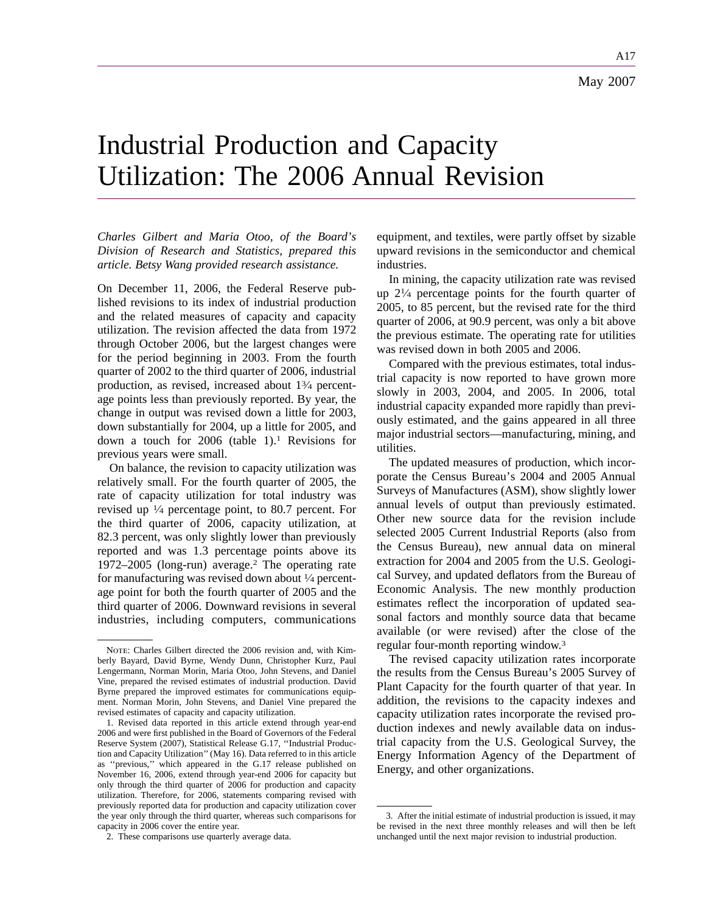A17

# Industrial Production and Capacity Utilization: The 2006 Annual Revision

*Charles Gilbert and Maria Otoo, of the Board's Division of Research and Statistics, prepared this article. Betsy Wang provided research assistance.*

On December 11, 2006, the Federal Reserve published revisions to its index of industrial production and the related measures of capacity and capacity utilization. The revision affected the data from 1972 through October 2006, but the largest changes were for the period beginning in 2003. From the fourth quarter of 2002 to the third quarter of 2006, industrial production, as revised, increased about 13⁄4 percentage points less than previously reported. By year, the change in output was revised down a little for 2003, down substantially for 2004, up a little for 2005, and down a touch for  $2006$  (table 1).<sup>1</sup> Revisions for previous years were small.

On balance, the revision to capacity utilization was relatively small. For the fourth quarter of 2005, the rate of capacity utilization for total industry was revised up 1⁄4 percentage point, to 80.7 percent. For the third quarter of 2006, capacity utilization, at 82.3 percent, was only slightly lower than previously reported and was 1.3 percentage points above its 1972–2005 (long-run) average.2 The operating rate for manufacturing was revised down about 1⁄4 percentage point for both the fourth quarter of 2005 and the third quarter of 2006. Downward revisions in several industries, including computers, communications equipment, and textiles, were partly offset by sizable upward revisions in the semiconductor and chemical industries.

In mining, the capacity utilization rate was revised up  $2\frac{1}{4}$  percentage points for the fourth quarter of 2005, to 85 percent, but the revised rate for the third quarter of 2006, at 90.9 percent, was only a bit above the previous estimate. The operating rate for utilities was revised down in both 2005 and 2006.

Compared with the previous estimates, total industrial capacity is now reported to have grown more slowly in 2003, 2004, and 2005. In 2006, total industrial capacity expanded more rapidly than previously estimated, and the gains appeared in all three major industrial sectors—manufacturing, mining, and utilities.

The updated measures of production, which incorporate the Census Bureau's 2004 and 2005 Annual Surveys of Manufactures (ASM), show slightly lower annual levels of output than previously estimated. Other new source data for the revision include selected 2005 Current Industrial Reports (also from the Census Bureau), new annual data on mineral extraction for 2004 and 2005 from the U.S. Geological Survey, and updated deflators from the Bureau of Economic Analysis. The new monthly production estimates reflect the incorporation of updated seasonal factors and monthly source data that became available (or were revised) after the close of the regular four-month reporting window.3

The revised capacity utilization rates incorporate the results from the Census Bureau's 2005 Survey of Plant Capacity for the fourth quarter of that year. In addition, the revisions to the capacity indexes and capacity utilization rates incorporate the revised production indexes and newly available data on industrial capacity from the U.S. Geological Survey, the Energy Information Agency of the Department of Energy, and other organizations.

NOTE: Charles Gilbert directed the 2006 revision and, with Kimberly Bayard, David Byrne, Wendy Dunn, Christopher Kurz, Paul Lengermann, Norman Morin, Maria Otoo, John Stevens, and Daniel Vine, prepared the revised estimates of industrial production. David Byrne prepared the improved estimates for communications equipment. Norman Morin, John Stevens, and Daniel Vine prepared the revised estimates of capacity and capacity utilization.

<sup>1.</sup> Revised data reported in this article extend through year-end 2006 and were first published in the Board of Governors of the Federal Reserve System (2007), Statistical Release G.17, ''Industrial Production and Capacity Utilization'' (May 16). Data referred to in this article as ''previous,'' which appeared in the G.17 release published on November 16, 2006, extend through year-end 2006 for capacity but only through the third quarter of 2006 for production and capacity utilization. Therefore, for 2006, statements comparing revised with previously reported data for production and capacity utilization cover the year only through the third quarter, whereas such comparisons for capacity in 2006 cover the entire year.

<sup>2.</sup> These comparisons use quarterly average data.

<sup>3.</sup> After the initial estimate of industrial production is issued, it may be revised in the next three monthly releases and will then be left unchanged until the next major revision to industrial production.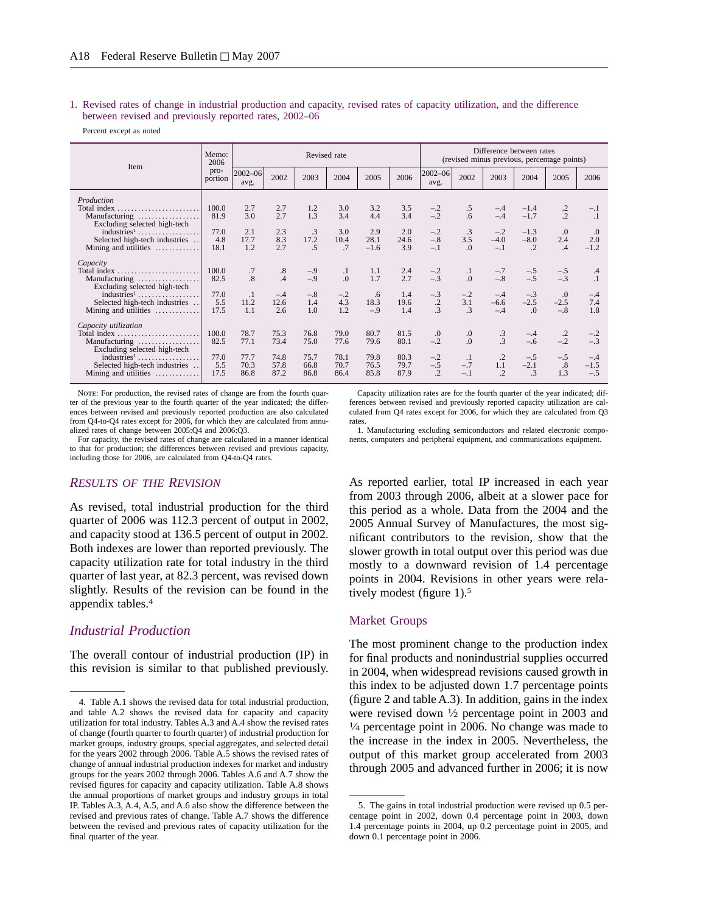1. Revised rates of change in industrial production and capacity, revised rates of capacity utilization, and the difference between revised and previously reported rates, 2002–06

Percent except as noted

| Item                                                                                 | Memo:<br>2006       |                        | Revised rate         |                                      |                      |                       |                      |                                              |                              | Difference between rates<br>(revised minus previous, percentage points) |                              |                              |                          |  |  |  |
|--------------------------------------------------------------------------------------|---------------------|------------------------|----------------------|--------------------------------------|----------------------|-----------------------|----------------------|----------------------------------------------|------------------------------|-------------------------------------------------------------------------|------------------------------|------------------------------|--------------------------|--|--|--|
|                                                                                      | pro-<br>portion     | $2002 - 06$<br>avg.    | 2002                 | 2003                                 | 2004                 | 2005                  | 2006                 | $2002 - 06$<br>avg.                          | 2002                         | 2003                                                                    | 2004                         | 2005                         | 2006                     |  |  |  |
| Production<br>Total index<br>Manufacturing<br>Excluding selected high-tech           | 100.0<br>81.9       | 2.7<br>3.0             | 2.7<br>2.7           | 1.2<br>1.3                           | 3.0<br>3.4           | 3.2<br>4.4            | 3.5<br>3.4           | $-.2$<br>$-.2$                               | .5<br>$6^{6}$                | $-.4$<br>$-.4$                                                          | $-1.4$<br>$-1.7$             | $\cdot$ .2<br>$\overline{2}$ | $-.1$<br>$\cdot$         |  |  |  |
| industries <sup>1</sup><br>Selected high-tech industries<br>Mining and utilities     | 77.0<br>4.8<br>18.1 | 2.1<br>17.7<br>1.2     | 2.3<br>8.3<br>2.7    | $\cdot$ 3<br>17.2<br>$.5\phantom{0}$ | 3.0<br>10.4<br>.7    | 2.9<br>28.1<br>$-1.6$ | 2.0<br>24.6<br>3.9   | $-.2$<br>$-.8$<br>$-.1$                      | .3<br>3.5<br>$\Omega$ .      | $-.2$<br>$-4.0$<br>$-.1$                                                | $-1.3$<br>$-8.0$<br>$\cdot$  | .0<br>2.4<br>.4              | .0<br>2.0<br>$-1.2$      |  |  |  |
| Capacity<br>Total index<br>Manufacturing<br>Excluding selected high-tech             | 100.0<br>82.5       | .7<br>$\overline{.8}$  | .8<br>$\overline{A}$ | $-.9$<br>$-.9$                       | $\cdot$<br>.0        | 1.1<br>1.7            | 2.4<br>2.7           | $-.2$<br>$-.3$                               | $\cdot$<br>$\overline{0}$    | $-.7$<br>$-.8$                                                          | $-.5$<br>$-.5$               | $-.5$<br>$-.3$               | .4<br>$\cdot$            |  |  |  |
| $industries1$<br>Selected high-tech industries<br>Mining and utilities               | 77.0<br>5.5<br>17.5 | $\cdot$<br>11.2<br>1.1 | $-.4$<br>12.6<br>2.6 | $-.8$<br>1.4<br>1.0                  | $-.2$<br>4.3<br>1.2  | .6<br>18.3<br>$-.9$   | 1.4<br>19.6<br>1.4   | $-.3$<br>$\cdot$<br>$\overline{\mathcal{E}}$ | $-.2$<br>3.1<br>$\mathbf{3}$ | $-.4$<br>$-6.6$<br>$-.4$                                                | $-.3$<br>$-2.5$<br>$\Omega$  | .0<br>$-2.5$<br>$-.8$        | $-.4$<br>7.4<br>1.8      |  |  |  |
| Capacity utilization<br>Total index<br>Manufacturing<br>Excluding selected high-tech | 100.0<br>82.5       | 78.7<br>77.1           | 75.3<br>73.4         | 76.8<br>75.0                         | 79.0<br>77.6         | 80.7<br>79.6          | 81.5<br>80.1         | $\cdot$<br>$-.2$                             | .0<br>$\overline{0}$ .       | $\frac{3}{3}$                                                           | $-.4$<br>$-.6$               | $\cdot$<br>$-.2$             | $-.2$<br>$-.3$           |  |  |  |
| $industries1$ .<br>Selected high-tech industries<br>Mining and utilities<br>.        | 77.0<br>5.5<br>17.5 | 77.7<br>70.3<br>86.8   | 74.8<br>57.8<br>87.2 | 75.7<br>66.8<br>86.8                 | 78.1<br>70.7<br>86.4 | 79.8<br>76.5<br>85.8  | 80.3<br>79.7<br>87.9 | $-.2$<br>$-.5$<br>$\overline{2}$             | $\cdot$ 1<br>$-.7$<br>$-.1$  | $\cdot$ .2<br>1.1<br>$\overline{.2}$                                    | $-.5$<br>$-2.1$<br>$\cdot$ 3 | $-.5$<br>.8<br>1.3           | $-.4$<br>$-1.5$<br>$-.5$ |  |  |  |

NOTE: For production, the revised rates of change are from the fourth quarter of the previous year to the fourth quarter of the year indicated; the differences between revised and previously reported production are also calculated from Q4-to-Q4 rates except for 2006, for which they are calculated from annualized rates of change between 2005:Q4 and 2006:Q3.

For capacity, the revised rates of change are calculated in a manner identical to that for production; the differences between revised and previous capacity, including those for 2006, are calculated from Q4-to-Q4 rates.

#### *RESULTS OF THE REVISION*

As revised, total industrial production for the third quarter of 2006 was 112.3 percent of output in 2002, and capacity stood at 136.5 percent of output in 2002. Both indexes are lower than reported previously. The capacity utilization rate for total industry in the third quarter of last year, at 82.3 percent, was revised down slightly. Results of the revision can be found in the appendix tables.4

#### *Industrial Production*

The overall contour of industrial production (IP) in this revision is similar to that published previously.

Capacity utilization rates are for the fourth quarter of the year indicated; differences between revised and previously reported capacity utilization are calculated from Q4 rates except for 2006, for which they are calculated from Q3 rates

1. Manufacturing excluding semiconductors and related electronic components, computers and peripheral equipment, and communications equipment.

As reported earlier, total IP increased in each year from 2003 through 2006, albeit at a slower pace for this period as a whole. Data from the 2004 and the 2005 Annual Survey of Manufactures, the most significant contributors to the revision, show that the slower growth in total output over this period was due mostly to a downward revision of 1.4 percentage points in 2004. Revisions in other years were relatively modest (figure 1).<sup>5</sup>

#### Market Groups

The most prominent change to the production index for final products and nonindustrial supplies occurred in 2004, when widespread revisions caused growth in this index to be adjusted down 1.7 percentage points (figure 2 and table A.3). In addition, gains in the index were revised down 1⁄2 percentage point in 2003 and  $\frac{1}{4}$  percentage point in 2006. No change was made to the increase in the index in 2005. Nevertheless, the output of this market group accelerated from 2003 through 2005 and advanced further in 2006; it is now

<sup>4.</sup> Table A.1 shows the revised data for total industrial production, and table A.2 shows the revised data for capacity and capacity utilization for total industry. Tables A.3 and A.4 show the revised rates of change (fourth quarter to fourth quarter) of industrial production for market groups, industry groups, special aggregates, and selected detail for the years 2002 through 2006. Table A.5 shows the revised rates of change of annual industrial production indexes for market and industry groups for the years 2002 through 2006. Tables A.6 and A.7 show the revised figures for capacity and capacity utilization. Table A.8 shows the annual proportions of market groups and industry groups in total IP. Tables A.3, A.4, A.5, and A.6 also show the difference between the revised and previous rates of change. Table A.7 shows the difference between the revised and previous rates of capacity utilization for the final quarter of the year.

<sup>5.</sup> The gains in total industrial production were revised up 0.5 percentage point in 2002, down 0.4 percentage point in 2003, down 1.4 percentage points in 2004, up 0.2 percentage point in 2005, and down 0.1 percentage point in 2006.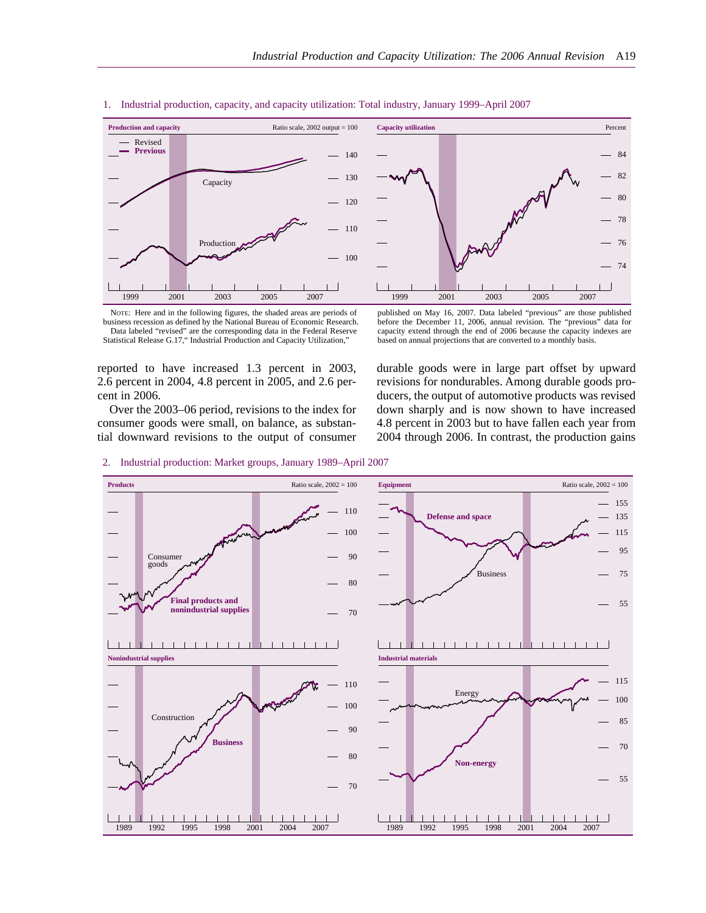

1. Industrial production, capacity, and capacity utilization: Total industry, January 1999–April 2007

## **Capacity utilization** 74 76 78 80 82 84 Percent 1999 2001 2003 2005 2007

published on May 16, 2007. Data labeled "previous" are those published before the December 11, 2006, annual revision. The "previous" data for capacity extend through the end of 2006 because the capacity indexes are based on annual projections that are converted to a monthly basis.

NOTE: Here and in the following figures, the shaded areas are periods of business recession as defined by the National Bureau of Economic Research. Data labeled "revised" are the corresponding data in the Federal Reserve Statistical Release G.17," Industrial Production and Capacity Utilization,"

reported to have increased 1.3 percent in 2003, 2.6 percent in 2004, 4.8 percent in 2005, and 2.6 percent in 2006.

Over the 2003–06 period, revisions to the index for consumer goods were small, on balance, as substantial downward revisions to the output of consumer durable goods were in large part offset by upward revisions for nondurables. Among durable goods producers, the output of automotive products was revised down sharply and is now shown to have increased 4.8 percent in 2003 but to have fallen each year from 2004 through 2006. In contrast, the production gains



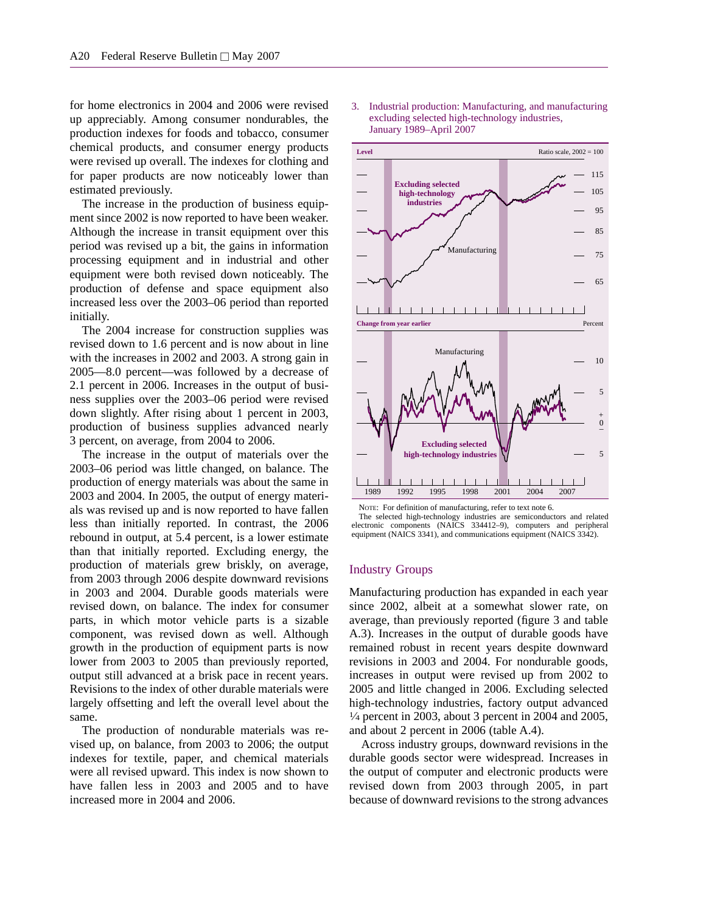for home electronics in 2004 and 2006 were revised up appreciably. Among consumer nondurables, the production indexes for foods and tobacco, consumer chemical products, and consumer energy products were revised up overall. The indexes for clothing and for paper products are now noticeably lower than estimated previously.

The increase in the production of business equipment since 2002 is now reported to have been weaker. Although the increase in transit equipment over this period was revised up a bit, the gains in information processing equipment and in industrial and other equipment were both revised down noticeably. The production of defense and space equipment also increased less over the 2003–06 period than reported initially.

The 2004 increase for construction supplies was revised down to 1.6 percent and is now about in line with the increases in 2002 and 2003. A strong gain in 2005—8.0 percent—was followed by a decrease of 2.1 percent in 2006. Increases in the output of business supplies over the 2003–06 period were revised down slightly. After rising about 1 percent in 2003, production of business supplies advanced nearly 3 percent, on average, from 2004 to 2006.

The increase in the output of materials over the 2003–06 period was little changed, on balance. The production of energy materials was about the same in 2003 and 2004. In 2005, the output of energy materials was revised up and is now reported to have fallen less than initially reported. In contrast, the 2006 rebound in output, at 5.4 percent, is a lower estimate than that initially reported. Excluding energy, the production of materials grew briskly, on average, from 2003 through 2006 despite downward revisions in 2003 and 2004. Durable goods materials were revised down, on balance. The index for consumer parts, in which motor vehicle parts is a sizable component, was revised down as well. Although growth in the production of equipment parts is now lower from 2003 to 2005 than previously reported, output still advanced at a brisk pace in recent years. Revisions to the index of other durable materials were largely offsetting and left the overall level about the same.

The production of nondurable materials was revised up, on balance, from 2003 to 2006; the output indexes for textile, paper, and chemical materials were all revised upward. This index is now shown to have fallen less in 2003 and 2005 and to have increased more in 2004 and 2006.

3. Industrial production: Manufacturing, and manufacturing excluding selected high-technology industries, January 1989–April 2007



NOTE: For definition of manufacturing, refer to text note 6.

The selected high-technology industries are semiconductors and related electronic components (NAICS 334412–9), computers and peripheral equipment (NAICS 3341), and communications equipment (NAICS 3342).

#### Industry Groups

Manufacturing production has expanded in each year since 2002, albeit at a somewhat slower rate, on average, than previously reported (figure 3 and table A.3). Increases in the output of durable goods have remained robust in recent years despite downward revisions in 2003 and 2004. For nondurable goods, increases in output were revised up from 2002 to 2005 and little changed in 2006. Excluding selected high-technology industries, factory output advanced  $\frac{1}{4}$  percent in 2003, about 3 percent in 2004 and 2005, and about 2 percent in 2006 (table A.4).

Across industry groups, downward revisions in the durable goods sector were widespread. Increases in the output of computer and electronic products were revised down from 2003 through 2005, in part because of downward revisions to the strong advances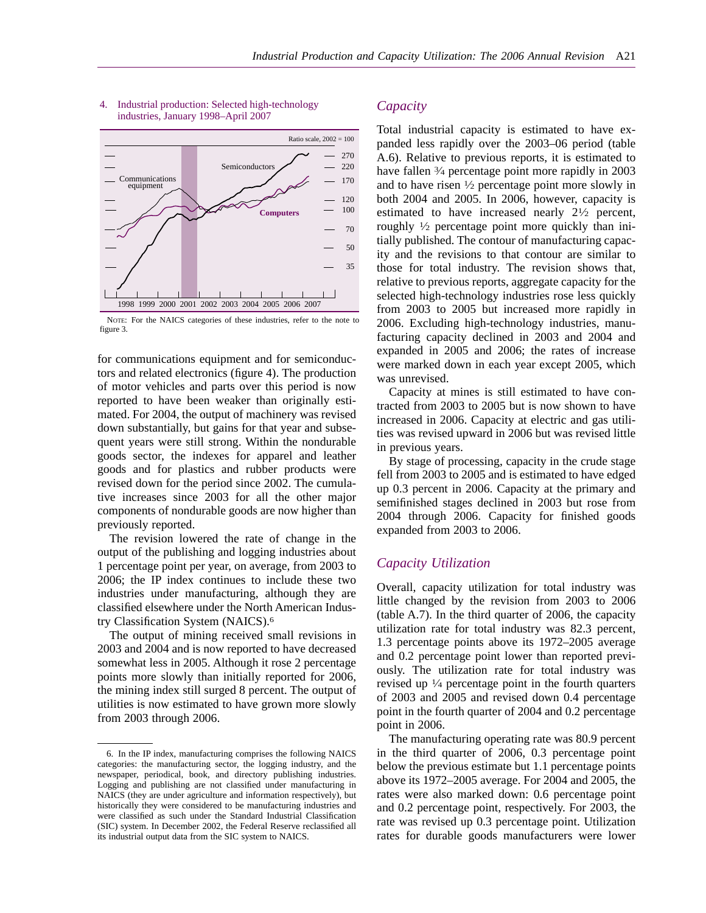

#### 4. Industrial production: Selected high-technology industries, January 1998–April 2007

NOTE: For the NAICS categories of these industries, refer to the note to figure 3.

for communications equipment and for semiconductors and related electronics (figure 4). The production of motor vehicles and parts over this period is now reported to have been weaker than originally estimated. For 2004, the output of machinery was revised down substantially, but gains for that year and subsequent years were still strong. Within the nondurable goods sector, the indexes for apparel and leather goods and for plastics and rubber products were revised down for the period since 2002. The cumulative increases since 2003 for all the other major components of nondurable goods are now higher than previously reported.

The revision lowered the rate of change in the output of the publishing and logging industries about 1 percentage point per year, on average, from 2003 to 2006; the IP index continues to include these two industries under manufacturing, although they are classified elsewhere under the North American Industry Classification System (NAICS).6

The output of mining received small revisions in 2003 and 2004 and is now reported to have decreased somewhat less in 2005. Although it rose 2 percentage points more slowly than initially reported for 2006, the mining index still surged 8 percent. The output of utilities is now estimated to have grown more slowly from 2003 through 2006.

### *Capacity*

Total industrial capacity is estimated to have expanded less rapidly over the 2003–06 period (table A.6). Relative to previous reports, it is estimated to have fallen 3/4 percentage point more rapidly in 2003 and to have risen  $\frac{1}{2}$  percentage point more slowly in both 2004 and 2005. In 2006, however, capacity is estimated to have increased nearly 21⁄2 percent, roughly 1⁄2 percentage point more quickly than initially published. The contour of manufacturing capacity and the revisions to that contour are similar to those for total industry. The revision shows that, relative to previous reports, aggregate capacity for the selected high-technology industries rose less quickly from 2003 to 2005 but increased more rapidly in 2006. Excluding high-technology industries, manufacturing capacity declined in 2003 and 2004 and expanded in 2005 and 2006; the rates of increase were marked down in each year except 2005, which was unrevised.

Capacity at mines is still estimated to have contracted from 2003 to 2005 but is now shown to have increased in 2006. Capacity at electric and gas utilities was revised upward in 2006 but was revised little in previous years.

By stage of processing, capacity in the crude stage fell from 2003 to 2005 and is estimated to have edged up 0.3 percent in 2006. Capacity at the primary and semifinished stages declined in 2003 but rose from 2004 through 2006. Capacity for finished goods expanded from 2003 to 2006.

#### *Capacity Utilization*

Overall, capacity utilization for total industry was little changed by the revision from 2003 to 2006 (table A.7). In the third quarter of 2006, the capacity utilization rate for total industry was 82.3 percent, 1.3 percentage points above its 1972–2005 average and 0.2 percentage point lower than reported previously. The utilization rate for total industry was revised up  $\frac{1}{4}$  percentage point in the fourth quarters of 2003 and 2005 and revised down 0.4 percentage point in the fourth quarter of 2004 and 0.2 percentage point in 2006.

The manufacturing operating rate was 80.9 percent in the third quarter of 2006, 0.3 percentage point below the previous estimate but 1.1 percentage points above its 1972–2005 average. For 2004 and 2005, the rates were also marked down: 0.6 percentage point and 0.2 percentage point, respectively. For 2003, the rate was revised up 0.3 percentage point. Utilization rates for durable goods manufacturers were lower

<sup>6.</sup> In the IP index, manufacturing comprises the following NAICS categories: the manufacturing sector, the logging industry, and the newspaper, periodical, book, and directory publishing industries. Logging and publishing are not classified under manufacturing in NAICS (they are under agriculture and information respectively), but historically they were considered to be manufacturing industries and were classified as such under the Standard Industrial Classification (SIC) system. In December 2002, the Federal Reserve reclassified all its industrial output data from the SIC system to NAICS.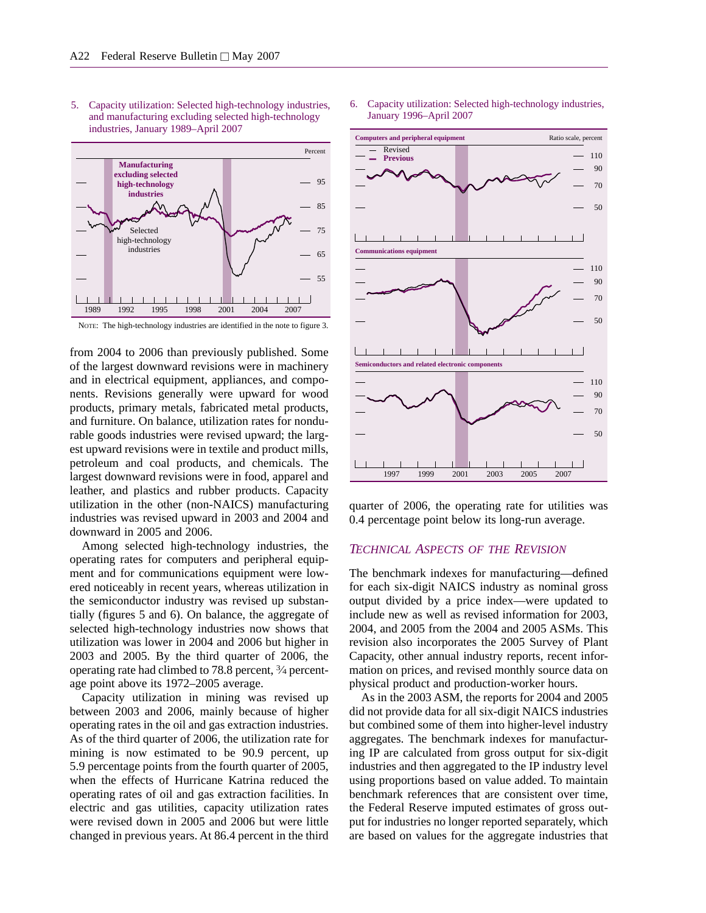5. Capacity utilization: Selected high-technology industries, and manufacturing excluding selected high-technology industries, January 1989–April 2007



NOTE: The high-technology industries are identified in the note to figure 3.

from 2004 to 2006 than previously published. Some of the largest downward revisions were in machinery and in electrical equipment, appliances, and components. Revisions generally were upward for wood products, primary metals, fabricated metal products, and furniture. On balance, utilization rates for nondurable goods industries were revised upward; the largest upward revisions were in textile and product mills, petroleum and coal products, and chemicals. The largest downward revisions were in food, apparel and leather, and plastics and rubber products. Capacity utilization in the other (non-NAICS) manufacturing industries was revised upward in 2003 and 2004 and downward in 2005 and 2006.

Among selected high-technology industries, the operating rates for computers and peripheral equipment and for communications equipment were lowered noticeably in recent years, whereas utilization in the semiconductor industry was revised up substantially (figures 5 and 6). On balance, the aggregate of selected high-technology industries now shows that utilization was lower in 2004 and 2006 but higher in 2003 and 2005. By the third quarter of 2006, the operating rate had climbed to 78.8 percent, 3⁄4 percentage point above its 1972–2005 average.

Capacity utilization in mining was revised up between 2003 and 2006, mainly because of higher operating rates in the oil and gas extraction industries. As of the third quarter of 2006, the utilization rate for mining is now estimated to be 90.9 percent, up 5.9 percentage points from the fourth quarter of 2005, when the effects of Hurricane Katrina reduced the operating rates of oil and gas extraction facilities. In electric and gas utilities, capacity utilization rates were revised down in 2005 and 2006 but were little changed in previous years. At 86.4 percent in the third 6. Capacity utilization: Selected high-technology industries, January 1996–April 2007



quarter of 2006, the operating rate for utilities was 0.4 percentage point below its long-run average.

#### *TECHNICAL ASPECTS OF THE REVISION*

The benchmark indexes for manufacturing—defined for each six-digit NAICS industry as nominal gross output divided by a price index—were updated to include new as well as revised information for 2003, 2004, and 2005 from the 2004 and 2005 ASMs. This revision also incorporates the 2005 Survey of Plant Capacity, other annual industry reports, recent information on prices, and revised monthly source data on physical product and production-worker hours.

As in the 2003 ASM, the reports for 2004 and 2005 did not provide data for all six-digit NAICS industries but combined some of them into higher-level industry aggregates. The benchmark indexes for manufacturing IP are calculated from gross output for six-digit industries and then aggregated to the IP industry level using proportions based on value added. To maintain benchmark references that are consistent over time, the Federal Reserve imputed estimates of gross output for industries no longer reported separately, which are based on values for the aggregate industries that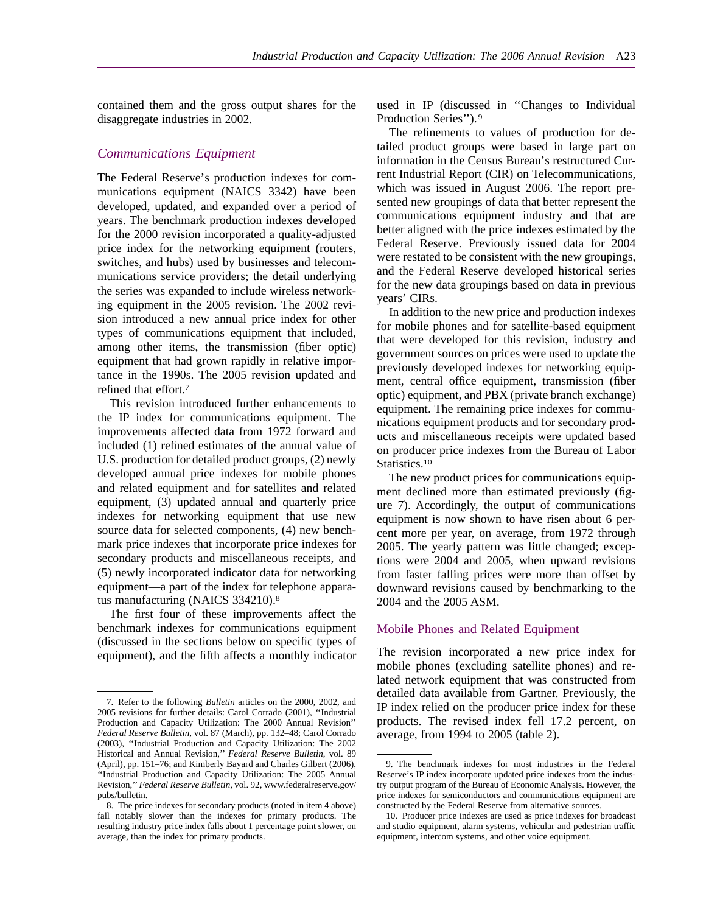contained them and the gross output shares for the disaggregate industries in 2002.

## *Communications Equipment*

The Federal Reserve's production indexes for communications equipment (NAICS 3342) have been developed, updated, and expanded over a period of years. The benchmark production indexes developed for the 2000 revision incorporated a quality-adjusted price index for the networking equipment (routers, switches, and hubs) used by businesses and telecommunications service providers; the detail underlying the series was expanded to include wireless networking equipment in the 2005 revision. The 2002 revision introduced a new annual price index for other types of communications equipment that included, among other items, the transmission (fiber optic) equipment that had grown rapidly in relative importance in the 1990s. The 2005 revision updated and refined that effort.7

This revision introduced further enhancements to the IP index for communications equipment. The improvements affected data from 1972 forward and included (1) refined estimates of the annual value of U.S. production for detailed product groups, (2) newly developed annual price indexes for mobile phones and related equipment and for satellites and related equipment, (3) updated annual and quarterly price indexes for networking equipment that use new source data for selected components, (4) new benchmark price indexes that incorporate price indexes for secondary products and miscellaneous receipts, and (5) newly incorporated indicator data for networking equipment—a part of the index for telephone apparatus manufacturing (NAICS 334210).8

The first four of these improvements affect the benchmark indexes for communications equipment (discussed in the sections below on specific types of equipment), and the fifth affects a monthly indicator used in IP (discussed in ''Changes to Individual Production Series''). <sup>9</sup>

The refinements to values of production for detailed product groups were based in large part on information in the Census Bureau's restructured Current Industrial Report (CIR) on Telecommunications, which was issued in August 2006. The report presented new groupings of data that better represent the communications equipment industry and that are better aligned with the price indexes estimated by the Federal Reserve. Previously issued data for 2004 were restated to be consistent with the new groupings, and the Federal Reserve developed historical series for the new data groupings based on data in previous years' CIRs.

In addition to the new price and production indexes for mobile phones and for satellite-based equipment that were developed for this revision, industry and government sources on prices were used to update the previously developed indexes for networking equipment, central office equipment, transmission (fiber optic) equipment, and PBX (private branch exchange) equipment. The remaining price indexes for communications equipment products and for secondary products and miscellaneous receipts were updated based on producer price indexes from the Bureau of Labor Statistics.<sup>10</sup>

The new product prices for communications equipment declined more than estimated previously (figure 7). Accordingly, the output of communications equipment is now shown to have risen about 6 percent more per year, on average, from 1972 through 2005. The yearly pattern was little changed; exceptions were 2004 and 2005, when upward revisions from faster falling prices were more than offset by downward revisions caused by benchmarking to the 2004 and the 2005 ASM.

#### Mobile Phones and Related Equipment

The revision incorporated a new price index for mobile phones (excluding satellite phones) and related network equipment that was constructed from detailed data available from Gartner. Previously, the IP index relied on the producer price index for these products. The revised index fell 17.2 percent, on average, from 1994 to 2005 (table 2).

<sup>7.</sup> Refer to the following *Bulletin* articles on the 2000, 2002, and 2005 revisions for further details: Carol Corrado (2001), ''Industrial Production and Capacity Utilization: The 2000 Annual Revision'' *Federal Reserve Bulletin*, vol. 87 (March), pp. 132–48; Carol Corrado (2003), ''Industrial Production and Capacity Utilization: The 2002 Historical and Annual Revision,'' *Federal Reserve Bulletin*, vol. 89 (April), pp. 151–76; and Kimberly Bayard and Charles Gilbert (2006), ''Industrial Production and Capacity Utilization: The 2005 Annual Revision,''*Federal Reserve Bulletin*, vol. 92, www.federalreserve.gov/ pubs/bulletin.

<sup>8.</sup> The price indexes for secondary products (noted in item 4 above) fall notably slower than the indexes for primary products. The resulting industry price index falls about 1 percentage point slower, on average, than the index for primary products.

<sup>9.</sup> The benchmark indexes for most industries in the Federal Reserve's IP index incorporate updated price indexes from the industry output program of the Bureau of Economic Analysis. However, the price indexes for semiconductors and communications equipment are constructed by the Federal Reserve from alternative sources.

<sup>10.</sup> Producer price indexes are used as price indexes for broadcast and studio equipment, alarm systems, vehicular and pedestrian traffic equipment, intercom systems, and other voice equipment.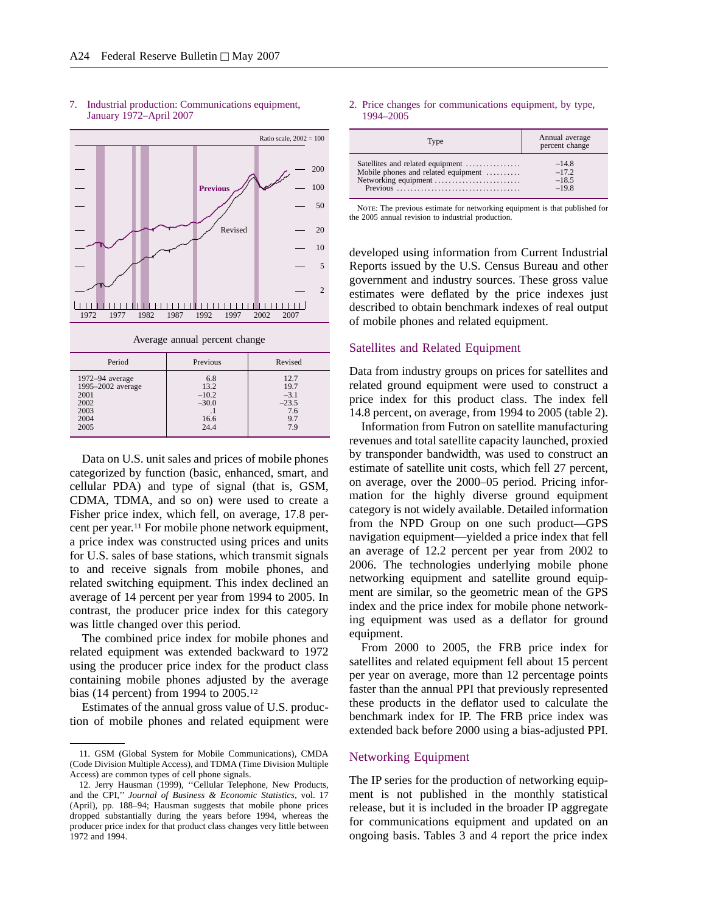

#### 7. Industrial production: Communications equipment, January 1972–April 2007

| 1972-94 average<br>6.8<br>13.2<br>1995-2002 average<br>$-10.2$<br>2001<br>2002<br>$-30.0$<br>2003<br>п.<br>2004<br>16.6<br>24.4<br>2005 | 12.7<br>19.7<br>$-3.1$<br>$-23.5$<br>7.6<br>9.7<br>79 |
|-----------------------------------------------------------------------------------------------------------------------------------------|-------------------------------------------------------|

Data on U.S. unit sales and prices of mobile phones categorized by function (basic, enhanced, smart, and cellular PDA) and type of signal (that is, GSM, CDMA, TDMA, and so on) were used to create a Fisher price index, which fell, on average, 17.8 percent per year.11 For mobile phone network equipment, a price index was constructed using prices and units for U.S. sales of base stations, which transmit signals to and receive signals from mobile phones, and related switching equipment. This index declined an average of 14 percent per year from 1994 to 2005. In contrast, the producer price index for this category was little changed over this period.

The combined price index for mobile phones and related equipment was extended backward to 1972 using the producer price index for the product class containing mobile phones adjusted by the average bias (14 percent) from 1994 to 2005.12

Estimates of the annual gross value of U.S. production of mobile phones and related equipment were

#### 2. Price changes for communications equipment, by type, 1994–2005

| Type                                | Annual average<br>percent change |
|-------------------------------------|----------------------------------|
| Satellites and related equipment    | $-14.8$                          |
| Mobile phones and related equipment | $-17.2$                          |
| Networking equipment                | $-18.5$                          |
|                                     | $-198$                           |

NOTE: The previous estimate for networking equipment is that published for the 2005 annual revision to industrial production.

developed using information from Current Industrial Reports issued by the U.S. Census Bureau and other government and industry sources. These gross value estimates were deflated by the price indexes just described to obtain benchmark indexes of real output of mobile phones and related equipment.

#### Satellites and Related Equipment

Data from industry groups on prices for satellites and related ground equipment were used to construct a price index for this product class. The index fell 14.8 percent, on average, from 1994 to 2005 (table 2).

Information from Futron on satellite manufacturing revenues and total satellite capacity launched, proxied by transponder bandwidth, was used to construct an estimate of satellite unit costs, which fell 27 percent, on average, over the 2000–05 period. Pricing information for the highly diverse ground equipment category is not widely available. Detailed information from the NPD Group on one such product—GPS navigation equipment—yielded a price index that fell an average of 12.2 percent per year from 2002 to 2006. The technologies underlying mobile phone networking equipment and satellite ground equipment are similar, so the geometric mean of the GPS index and the price index for mobile phone networking equipment was used as a deflator for ground equipment.

From 2000 to 2005, the FRB price index for satellites and related equipment fell about 15 percent per year on average, more than 12 percentage points faster than the annual PPI that previously represented these products in the deflator used to calculate the benchmark index for IP. The FRB price index was extended back before 2000 using a bias-adjusted PPI.

#### Networking Equipment

The IP series for the production of networking equipment is not published in the monthly statistical release, but it is included in the broader IP aggregate for communications equipment and updated on an ongoing basis. Tables 3 and 4 report the price index

<sup>11.</sup> GSM (Global System for Mobile Communications), CMDA (Code Division Multiple Access), and TDMA (Time Division Multiple Access) are common types of cell phone signals.

<sup>12.</sup> Jerry Hausman (1999), ''Cellular Telephone, New Products, and the CPI,'' *Journal of Business & Economic Statistics*, vol. 17 (April), pp. 188–94; Hausman suggests that mobile phone prices dropped substantially during the years before 1994, whereas the producer price index for that product class changes very little between 1972 and 1994.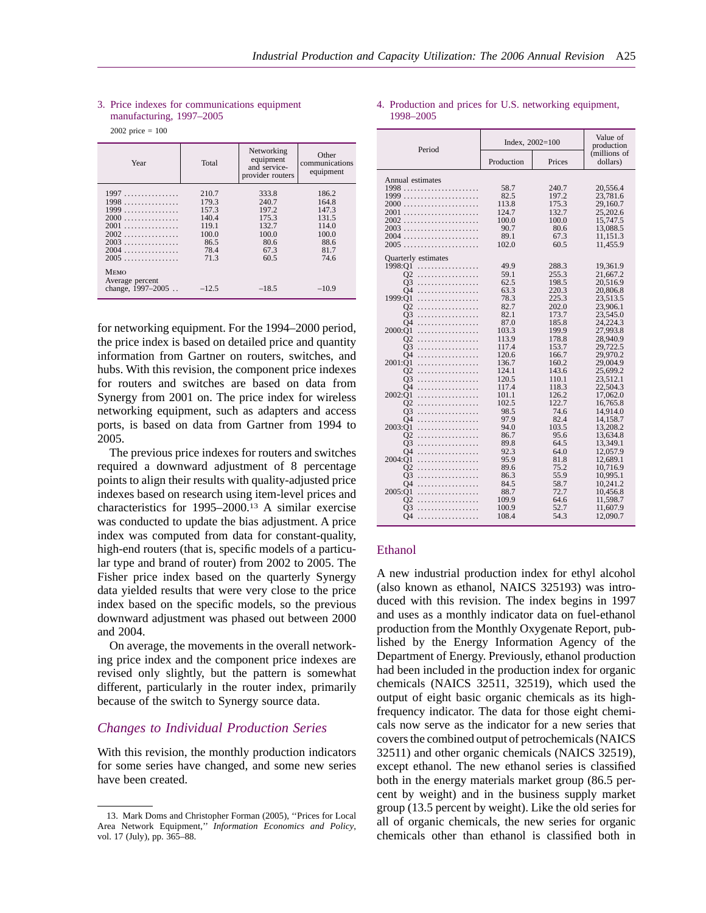| Year                                                                           | Total                                                                      | Networking<br>equipment<br>and service-<br>provider routers                | Other<br>communications<br>equipment                                       |
|--------------------------------------------------------------------------------|----------------------------------------------------------------------------|----------------------------------------------------------------------------|----------------------------------------------------------------------------|
| 1997<br>1998<br>1999<br>$2000$<br>2001<br>$2002$<br>$2003$<br>$2004$<br>$2005$ | 210.7<br>179.3<br>157.3<br>140.4<br>119.1<br>100.0<br>86.5<br>78.4<br>71.3 | 333.8<br>240.7<br>197.2<br>175.3<br>132.7<br>100.0<br>80.6<br>67.3<br>60.5 | 186.2<br>164.8<br>147.3<br>131.5<br>114.0<br>100.0<br>88.6<br>81.7<br>74.6 |
| Мемо<br>Average percent<br>change, 1997–2005                                   | $-12.5$                                                                    | $-18.5$                                                                    | $-10.9$                                                                    |

#### 3. Price indexes for communications equipment manufacturing, 1997–2005

2002 price = 100

for networking equipment. For the 1994–2000 period, the price index is based on detailed price and quantity information from Gartner on routers, switches, and hubs. With this revision, the component price indexes for routers and switches are based on data from Synergy from 2001 on. The price index for wireless networking equipment, such as adapters and access ports, is based on data from Gartner from 1994 to 2005.

The previous price indexes for routers and switches required a downward adjustment of 8 percentage points to align their results with quality-adjusted price indexes based on research using item-level prices and characteristics for 1995–2000.13 A similar exercise was conducted to update the bias adjustment. A price index was computed from data for constant-quality, high-end routers (that is, specific models of a particular type and brand of router) from 2002 to 2005. The Fisher price index based on the quarterly Synergy data yielded results that were very close to the price index based on the specific models, so the previous downward adjustment was phased out between 2000 and 2004.

On average, the movements in the overall networking price index and the component price indexes are revised only slightly, but the pattern is somewhat different, particularly in the router index, primarily because of the switch to Synergy source data.

#### *Changes to Individual Production Series*

With this revision, the monthly production indicators for some series have changed, and some new series have been created.

|           |  |  | 4. Production and prices for U.S. networking equipment, |  |
|-----------|--|--|---------------------------------------------------------|--|
| 1998–2005 |  |  |                                                         |  |

| Period                     | Index, $2002 = 100$ |              | Value of<br>production   |
|----------------------------|---------------------|--------------|--------------------------|
|                            | Production          | Prices       | (millions of<br>dollars) |
| Annual estimates           |                     |              |                          |
|                            | 58.7                | 240.7        | 20,556.4                 |
|                            | 82.5                | 197.2        | 23,781.6                 |
| 2000                       | 113.8               | 175.3        | 29,160.7                 |
| 2001                       | 124.7               | 132.7        | 25,202.6                 |
| 2002                       | 100.0               | 100.0        | 15,747.5                 |
| 2003<br>2004               | 90.7                | 80.6         | 13,088.5                 |
|                            | 89.1<br>102.0       | 67.3         | 11,151.3<br>11,455.9     |
| 2005                       |                     | 60.5         |                          |
| <b>Ouarterly</b> estimates |                     |              |                          |
| 1998:O1<br>.               | 49.9                | 288.3        | 19,361.9                 |
| $\Omega$<br>.              | 59.1                | 255.3        | 21,667.2                 |
| O3<br>.                    | 62.5                | 198.5        | 20,516.9                 |
| Ο4<br>.                    | 63.3                | 220.3        | 20,806.8                 |
| 1999:O1<br>.               | 78.3                | 225.3        | 23,513.5                 |
| $\Omega$<br>.              | 82.7                | 202.0        | 23,906.1                 |
| O <sub>3</sub><br>.        | 82.1                | 173.7        | 23,545.0                 |
| O <sub>4</sub><br>.        | 87.0                | 185.8        | 24,224.3                 |
| 2000:O1<br>.               | 103.3               | 199.9        | 27,993.8                 |
| $\Omega$<br>.              | 113.9               | 178.8        | 28,940.9                 |
| O3<br>.                    | 117.4               | 153.7        | 29.722.5                 |
| O4<br>.                    | 120.6               | 166.7        | 29,970.2                 |
| 2001:O1<br>.               | 136.7               | 160.2        | 29,004.9                 |
| O2<br>.                    | 124.1               | 143.6        | 25,699.2                 |
| O3<br>.                    | 120.5               | 110.1        | 23,512.1                 |
| O4<br>$\cdots$<br>.        | 117.4               | 118.3        | 22,504.3                 |
| 2002:O1<br>.               | 101.1               | 126.2        | 17,062.0                 |
| O2<br>.                    | 102.5               | 122.7        | 16,765.8                 |
| Q <sub>3</sub><br>.        | 98.5                | 74.6         | 14,914.0                 |
| Ο4<br>.                    | 97.9                | 82.4         | 14,158.7                 |
| 2003:O1<br>.               | 94.0                | 103.5        | 13.208.2                 |
| O2<br>.<br>O <sub>3</sub>  | 86.7                | 95.6<br>64.5 | 13,634.8                 |
| .                          | 89.8                |              | 13,349.1<br>12,057.9     |
| Ο4<br>.<br>2004:O1         | 92.3<br>95.9        | 64.0<br>81.8 | 12,689.1                 |
|                            | 89.6                | 75.2         | 10,716.9                 |
| O2<br>.<br>O3              | 86.3                | 55.9         | 10,995.1                 |
| .<br>O4<br>.               | 84.5                | 58.7         | 10,241.2                 |
| 2005:O1<br>.               | 88.7                | 72.7         | 10,456.8                 |
| O2<br>.                    | 109.9               | 64.6         | 11,598.7                 |
| O3<br>.                    | 100.9               | 52.7         | 11,607.9                 |
| O4<br>.                    | 108.4               | 54.3         | 12,090.7                 |
|                            |                     |              |                          |

#### Ethanol

A new industrial production index for ethyl alcohol (also known as ethanol, NAICS 325193) was introduced with this revision. The index begins in 1997 and uses as a monthly indicator data on fuel-ethanol production from the Monthly Oxygenate Report, published by the Energy Information Agency of the Department of Energy. Previously, ethanol production had been included in the production index for organic chemicals (NAICS 32511, 32519), which used the output of eight basic organic chemicals as its highfrequency indicator. The data for those eight chemicals now serve as the indicator for a new series that covers the combined output of petrochemicals (NAICS 32511) and other organic chemicals (NAICS 32519), except ethanol. The new ethanol series is classified both in the energy materials market group (86.5 percent by weight) and in the business supply market group (13.5 percent by weight). Like the old series for all of organic chemicals, the new series for organic chemicals other than ethanol is classified both in

<sup>13.</sup> Mark Doms and Christopher Forman (2005), ''Prices for Local Area Network Equipment,'' *Information Economics and Policy*, vol. 17 (July), pp. 365–88.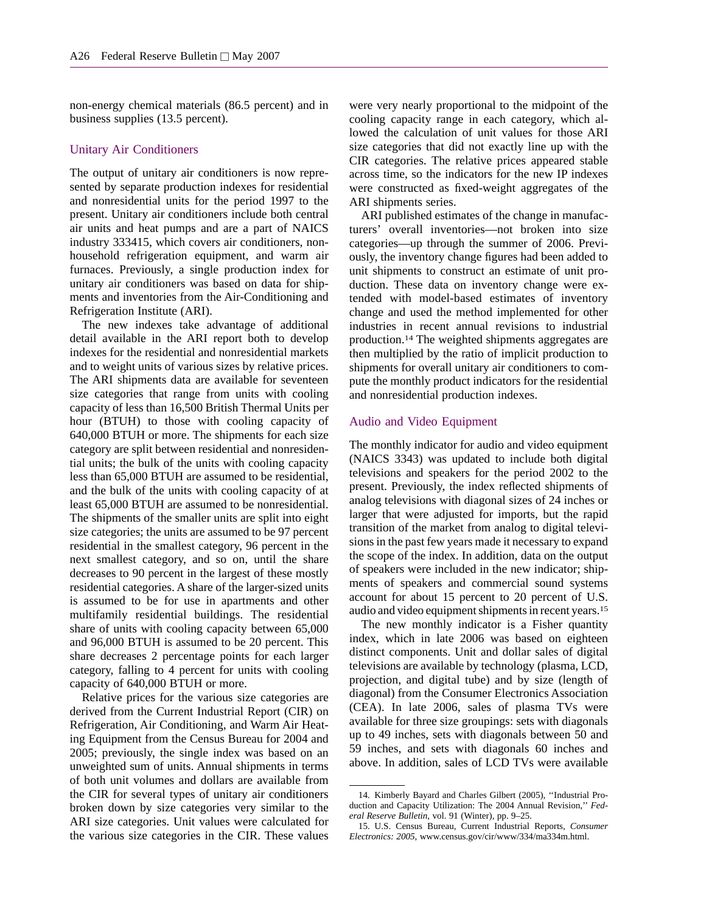non-energy chemical materials (86.5 percent) and in business supplies (13.5 percent).

#### Unitary Air Conditioners

The output of unitary air conditioners is now represented by separate production indexes for residential and nonresidential units for the period 1997 to the present. Unitary air conditioners include both central air units and heat pumps and are a part of NAICS industry 333415, which covers air conditioners, nonhousehold refrigeration equipment, and warm air furnaces. Previously, a single production index for unitary air conditioners was based on data for shipments and inventories from the Air-Conditioning and Refrigeration Institute (ARI).

The new indexes take advantage of additional detail available in the ARI report both to develop indexes for the residential and nonresidential markets and to weight units of various sizes by relative prices. The ARI shipments data are available for seventeen size categories that range from units with cooling capacity of less than 16,500 British Thermal Units per hour (BTUH) to those with cooling capacity of 640,000 BTUH or more. The shipments for each size category are split between residential and nonresidential units; the bulk of the units with cooling capacity less than 65,000 BTUH are assumed to be residential, and the bulk of the units with cooling capacity of at least 65,000 BTUH are assumed to be nonresidential. The shipments of the smaller units are split into eight size categories; the units are assumed to be 97 percent residential in the smallest category, 96 percent in the next smallest category, and so on, until the share decreases to 90 percent in the largest of these mostly residential categories. A share of the larger-sized units is assumed to be for use in apartments and other multifamily residential buildings. The residential share of units with cooling capacity between 65,000 and 96,000 BTUH is assumed to be 20 percent. This share decreases 2 percentage points for each larger category, falling to 4 percent for units with cooling capacity of 640,000 BTUH or more.

Relative prices for the various size categories are derived from the Current Industrial Report (CIR) on Refrigeration, Air Conditioning, and Warm Air Heating Equipment from the Census Bureau for 2004 and 2005; previously, the single index was based on an unweighted sum of units. Annual shipments in terms of both unit volumes and dollars are available from the CIR for several types of unitary air conditioners broken down by size categories very similar to the ARI size categories. Unit values were calculated for the various size categories in the CIR. These values

were very nearly proportional to the midpoint of the cooling capacity range in each category, which allowed the calculation of unit values for those ARI size categories that did not exactly line up with the CIR categories. The relative prices appeared stable across time, so the indicators for the new IP indexes were constructed as fixed-weight aggregates of the ARI shipments series.

ARI published estimates of the change in manufacturers' overall inventories—not broken into size categories—up through the summer of 2006. Previously, the inventory change figures had been added to unit shipments to construct an estimate of unit production. These data on inventory change were extended with model-based estimates of inventory change and used the method implemented for other industries in recent annual revisions to industrial production.14 The weighted shipments aggregates are then multiplied by the ratio of implicit production to shipments for overall unitary air conditioners to compute the monthly product indicators for the residential and nonresidential production indexes.

#### Audio and Video Equipment

The monthly indicator for audio and video equipment (NAICS 3343) was updated to include both digital televisions and speakers for the period 2002 to the present. Previously, the index reflected shipments of analog televisions with diagonal sizes of 24 inches or larger that were adjusted for imports, but the rapid transition of the market from analog to digital televisions in the past few years made it necessary to expand the scope of the index. In addition, data on the output of speakers were included in the new indicator; shipments of speakers and commercial sound systems account for about 15 percent to 20 percent of U.S. audio and video equipment shipments in recent years.15

The new monthly indicator is a Fisher quantity index, which in late 2006 was based on eighteen distinct components. Unit and dollar sales of digital televisions are available by technology (plasma, LCD, projection, and digital tube) and by size (length of diagonal) from the Consumer Electronics Association (CEA). In late 2006, sales of plasma TVs were available for three size groupings: sets with diagonals up to 49 inches, sets with diagonals between 50 and 59 inches, and sets with diagonals 60 inches and above. In addition, sales of LCD TVs were available

<sup>14.</sup> Kimberly Bayard and Charles Gilbert (2005), ''Industrial Production and Capacity Utilization: The 2004 Annual Revision,'' *Federal Reserve Bulletin*, vol. 91 (Winter), pp. 9–25.

<sup>15.</sup> U.S. Census Bureau, Current Industrial Reports, *Consumer Electronics: 2005*, www.census.gov/cir/www/334/ma334m.html.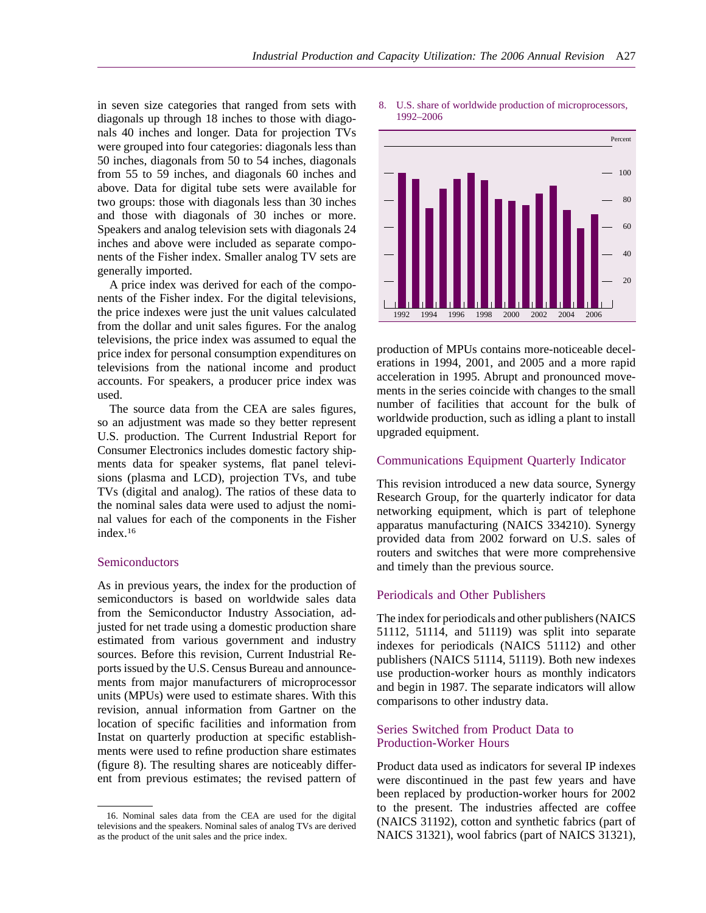in seven size categories that ranged from sets with diagonals up through 18 inches to those with diagonals 40 inches and longer. Data for projection TVs were grouped into four categories: diagonals less than 50 inches, diagonals from 50 to 54 inches, diagonals from 55 to 59 inches, and diagonals 60 inches and above. Data for digital tube sets were available for two groups: those with diagonals less than 30 inches and those with diagonals of 30 inches or more. Speakers and analog television sets with diagonals 24 inches and above were included as separate components of the Fisher index. Smaller analog TV sets are generally imported.

A price index was derived for each of the components of the Fisher index. For the digital televisions, the price indexes were just the unit values calculated from the dollar and unit sales figures. For the analog televisions, the price index was assumed to equal the price index for personal consumption expenditures on televisions from the national income and product accounts. For speakers, a producer price index was used.

The source data from the CEA are sales figures, so an adjustment was made so they better represent U.S. production. The Current Industrial Report for Consumer Electronics includes domestic factory shipments data for speaker systems, flat panel televisions (plasma and LCD), projection TVs, and tube TVs (digital and analog). The ratios of these data to the nominal sales data were used to adjust the nominal values for each of the components in the Fisher index.16

#### Semiconductors

As in previous years, the index for the production of semiconductors is based on worldwide sales data from the Semiconductor Industry Association, adjusted for net trade using a domestic production share estimated from various government and industry sources. Before this revision, Current Industrial Reports issued by the U.S. Census Bureau and announcements from major manufacturers of microprocessor units (MPUs) were used to estimate shares. With this revision, annual information from Gartner on the location of specific facilities and information from Instat on quarterly production at specific establishments were used to refine production share estimates (figure 8). The resulting shares are noticeably different from previous estimates; the revised pattern of

#### 8. U.S. share of worldwide production of microprocessors, 1992–2006



production of MPUs contains more-noticeable decelerations in 1994, 2001, and 2005 and a more rapid acceleration in 1995. Abrupt and pronounced movements in the series coincide with changes to the small number of facilities that account for the bulk of worldwide production, such as idling a plant to install upgraded equipment.

#### Communications Equipment Quarterly Indicator

This revision introduced a new data source, Synergy Research Group, for the quarterly indicator for data networking equipment, which is part of telephone apparatus manufacturing (NAICS 334210). Synergy provided data from 2002 forward on U.S. sales of routers and switches that were more comprehensive and timely than the previous source.

#### Periodicals and Other Publishers

The index for periodicals and other publishers (NAICS 51112, 51114, and 51119) was split into separate indexes for periodicals (NAICS 51112) and other publishers (NAICS 51114, 51119). Both new indexes use production-worker hours as monthly indicators and begin in 1987. The separate indicators will allow comparisons to other industry data.

#### Series Switched from Product Data to Production-Worker Hours

Product data used as indicators for several IP indexes were discontinued in the past few years and have been replaced by production-worker hours for 2002 to the present. The industries affected are coffee (NAICS 31192), cotton and synthetic fabrics (part of NAICS 31321), wool fabrics (part of NAICS 31321),

<sup>16.</sup> Nominal sales data from the CEA are used for the digital televisions and the speakers. Nominal sales of analog TVs are derived as the product of the unit sales and the price index.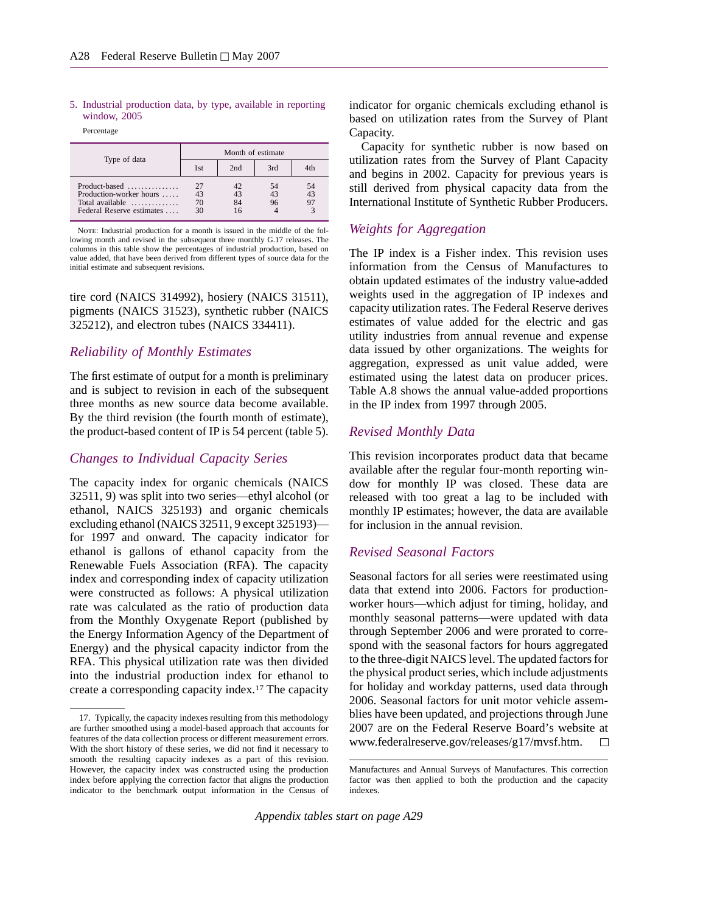#### 5. Industrial production data, by type, available in reporting window, 2005

Percentage

| Type of data                                                                                   |                      |                | Month of estimate |          |
|------------------------------------------------------------------------------------------------|----------------------|----------------|-------------------|----------|
|                                                                                                | 1st                  | 2nd            | 3rd               | 4th      |
| Production-worker hours<br>Total available $\dots\dots\dots\dots$<br>Federal Reserve estimates | 27<br>43<br>70<br>30 | 42<br>43<br>84 | 54<br>43<br>96    | 54<br>43 |

NOTE: Industrial production for a month is issued in the middle of the following month and revised in the subsequent three monthly G.17 releases. The columns in this table show the percentages of industrial production, based on value added, that have been derived from different types of source data for the initial estimate and subsequent revisions.

tire cord (NAICS 314992), hosiery (NAICS 31511), pigments (NAICS 31523), synthetic rubber (NAICS 325212), and electron tubes (NAICS 334411).

#### *Reliability of Monthly Estimates*

The first estimate of output for a month is preliminary and is subject to revision in each of the subsequent three months as new source data become available. By the third revision (the fourth month of estimate), the product-based content of IP is 54 percent (table 5).

#### *Changes to Individual Capacity Series*

The capacity index for organic chemicals (NAICS 32511, 9) was split into two series—ethyl alcohol (or ethanol, NAICS 325193) and organic chemicals excluding ethanol (NAICS 32511, 9 except 325193) for 1997 and onward. The capacity indicator for ethanol is gallons of ethanol capacity from the Renewable Fuels Association (RFA). The capacity index and corresponding index of capacity utilization were constructed as follows: A physical utilization rate was calculated as the ratio of production data from the Monthly Oxygenate Report (published by the Energy Information Agency of the Department of Energy) and the physical capacity indictor from the RFA. This physical utilization rate was then divided into the industrial production index for ethanol to create a corresponding capacity index.17 The capacity indicator for organic chemicals excluding ethanol is based on utilization rates from the Survey of Plant Capacity.

Capacity for synthetic rubber is now based on utilization rates from the Survey of Plant Capacity and begins in 2002. Capacity for previous years is still derived from physical capacity data from the International Institute of Synthetic Rubber Producers.

## *Weights for Aggregation*

The IP index is a Fisher index. This revision uses information from the Census of Manufactures to obtain updated estimates of the industry value-added weights used in the aggregation of IP indexes and capacity utilization rates. The Federal Reserve derives estimates of value added for the electric and gas utility industries from annual revenue and expense data issued by other organizations. The weights for aggregation, expressed as unit value added, were estimated using the latest data on producer prices. Table A.8 shows the annual value-added proportions in the IP index from 1997 through 2005.

#### *Revised Monthly Data*

This revision incorporates product data that became available after the regular four-month reporting window for monthly IP was closed. These data are released with too great a lag to be included with monthly IP estimates; however, the data are available for inclusion in the annual revision.

## *Revised Seasonal Factors*

Seasonal factors for all series were reestimated using data that extend into 2006. Factors for productionworker hours—which adjust for timing, holiday, and monthly seasonal patterns—were updated with data through September 2006 and were prorated to correspond with the seasonal factors for hours aggregated to the three-digit NAICS level. The updated factors for the physical product series, which include adjustments for holiday and workday patterns, used data through 2006. Seasonal factors for unit motor vehicle assemblies have been updated, and projections through June 2007 are on the Federal Reserve Board's website at www.federalreserve.gov/releases/g17/mvsf.htm.  $\Box$ 

*Appendix tables start on page A29*

<sup>17.</sup> Typically, the capacity indexes resulting from this methodology are further smoothed using a model-based approach that accounts for features of the data collection process or different measurement errors. With the short history of these series, we did not find it necessary to smooth the resulting capacity indexes as a part of this revision. However, the capacity index was constructed using the production index before applying the correction factor that aligns the production indicator to the benchmark output information in the Census of

Manufactures and Annual Surveys of Manufactures. This correction factor was then applied to both the production and the capacity indexes.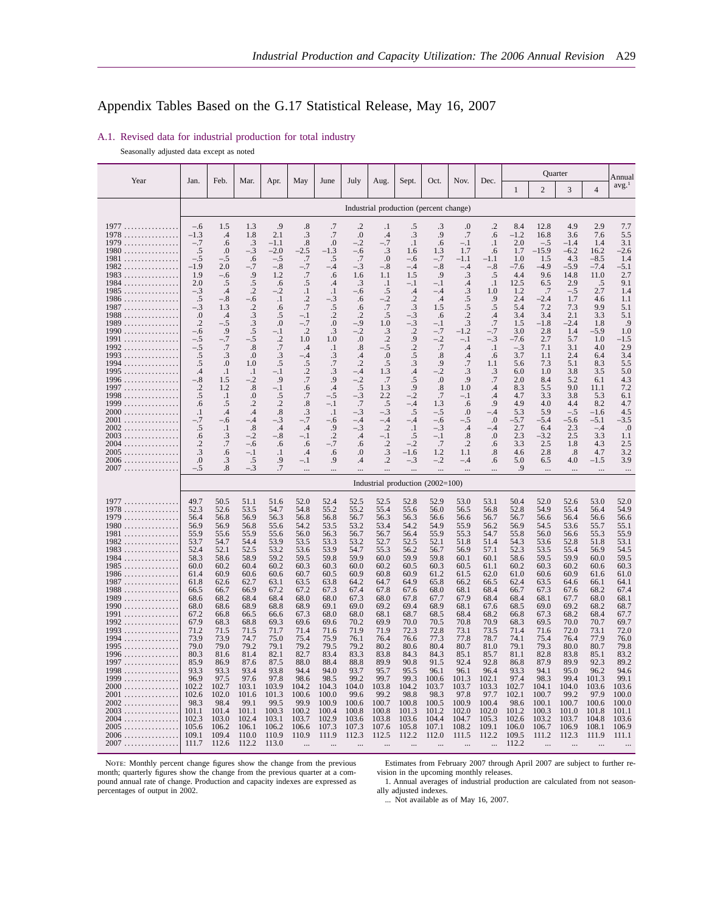## Appendix Tables Based on the G.17 Statistical Release, May 16, 2007

|                                                                                               |                                          |                                    |                                  |                                  |                                             |                                         |                                    |                                               |                                               |                                                 |                                              |                                           |                                |                                  | Quarter                         |                                  | Annual                          |
|-----------------------------------------------------------------------------------------------|------------------------------------------|------------------------------------|----------------------------------|----------------------------------|---------------------------------------------|-----------------------------------------|------------------------------------|-----------------------------------------------|-----------------------------------------------|-------------------------------------------------|----------------------------------------------|-------------------------------------------|--------------------------------|----------------------------------|---------------------------------|----------------------------------|---------------------------------|
| Year                                                                                          | Jan.                                     | Feb.                               | Mar.                             | Apr.                             | May                                         | June                                    | July                               | Aug.                                          | Sept.                                         | Oct.                                            | Nov.                                         | Dec.                                      | 1                              | 2                                | 3                               | $\overline{4}$                   | avg. <sup>1</sup>               |
|                                                                                               |                                          |                                    |                                  |                                  |                                             |                                         |                                    | Industrial production (percent change)        |                                               |                                                 |                                              |                                           |                                |                                  |                                 |                                  |                                 |
| 1977<br>1978<br>1979                                                                          | -.6<br>$-1.3$<br>$-.7$                   | 1.5<br>$\cdot^4$<br>.6             | 1.3<br>1.8<br>$\cdot$ 3          | .9<br>2.1<br>$-1.1$              | .8<br>$\cdot$ 3<br>$\boldsymbol{.8}$        | .7<br>.7<br>$\boldsymbol{0}$            | .2<br>$\cdot$<br>$-.2$             | $\cdot$<br>.4<br>$-.7$                        | .5<br>.3<br>$\cdot$ 1                         | .3<br>.9<br>.6                                  | $_{.0}$<br>.7<br>$-.1$<br>1.7                | .2<br>.6<br>$\cdot$                       | 8.4<br>$-1.2$<br>2.0<br>1.7    | 12.8<br>16.8<br>$-.5$<br>$-15.9$ | 4.9<br>3.6<br>$-1.4$            | 2.9<br>7.6<br>1.4                | 7.7<br>5.5<br>3.1               |
| $1980$<br>1981<br>$1982$<br>$1983$                                                            | .5<br>$-.5$<br>$-1.9$<br>1.9             | .0<br>-.5<br>2.0<br>-.6            | $-.3$<br>.6<br>$-7$<br>.9        | $-2.0$<br>$-.5$<br>$-.8$<br>1.2  | $-2.5$<br>.7<br>$-2.7$                      | $-1.3$<br>.5<br>$-.4$<br>.6             | $-.6$<br>.7<br>$-.3$<br>1.6        | .3<br>0.<br>$-.8$<br>1.1                      | 1.6<br>$-.6$<br>$-.4$<br>1.5                  | 1.3<br>$-.7$<br>$-.8$<br>.9                     | $-1.1$<br>$-.4$<br>.3                        | .6<br>$-1.1$<br>$-.8$<br>.5               | 1.0<br>$-7.6$<br>4.4           | 1.5<br>$-4.9$<br>9.6             | $-6.2$<br>4.3<br>$-5.9$<br>14.8 | 16.2<br>$-8.5$<br>$-7.4$<br>11.0 | $-2.6$<br>1.4<br>$-5.1$<br>2.7  |
| 1984<br>$1985$<br>$1986 \ldots \ldots \ldots \ldots$<br>1987                                  | 2.0<br>$-.3$<br>.5<br>$-.3$              | .5<br>$\cdot$ 4<br>$-.8$<br>1.3    | .5<br>$\cdot$<br>-.6<br>$\cdot$  | .6<br>-.2<br>$\cdot$<br>.6       | $\mathbf{.5}$<br>$\cdot$<br>$\cdot$<br>.7   | .4<br>$\cdot$<br>-.3<br>$\mathbf{.5}$   | .3<br>-.6<br>.6<br>.6              | $\cdot$<br>.5<br>$-.2$<br>.7                  | -.1<br>$\cdot$ 4<br>$\cdot$ .2<br>$\cdot$ 3   | $-.1$<br>-.4<br>$.4\,$<br>1.5                   | .4<br>$\cdot$ 3<br>.5<br>$\cdot$ 5           | $\cdot$<br>1.0<br>.9<br>.5                | 12.5<br>1.2<br>2.4<br>5.4      | 6.5<br>.7<br>$-2.4$<br>7.2       | 2.9<br>$-.5$<br>1.7<br>7.3      | .5<br>2.7<br>4.6<br>9.9          | 9.1<br>1.4<br>1.1<br>5.1        |
| $1988$<br>1989<br>$1990$<br>1991<br>.                                                         | $\Omega$<br>$\cdot$ .2<br>$-.6$<br>$-.5$ | $\cdot$ 4<br>$-.5$<br>.9<br>$-7$   | .3<br>.3<br>.5<br>-.5            | .5<br>.0<br>$-.1$<br>$\cdot$ .2  | $-.1$<br>$-.7$<br>$\cdot$ .2<br>1.0         | $\cdot$<br>.0<br>.3<br>1.0              | $\cdot$ .2<br>$-.9$<br>$-.2$<br>.0 | .5<br>1.0<br>.3<br>$\cdot$                    | $-.3$<br>$-.3$<br>$\cdot$<br>.9               | .6<br>$-.1$<br>$-.7$<br>$-.2$                   | $\overline{2}$<br>.3<br>$-1.2$<br>$-.1$      | .4<br>.7<br>$-7$<br>$-.3$                 | 3.4<br>1.5<br>3.0<br>$-7.6$    | 3.4<br>$-1.8$<br>2.8<br>2.7      | 2.1<br>$-2.4$<br>1.4<br>5.7     | 3.3<br>1.8<br>$-5.9$<br>1.0      | 5.1<br>.9<br>1.0<br>$-1.5$      |
| 1992<br>1993<br>1994<br>1995                                                                  | $-.5$<br>.5<br>.5<br>.4                  | .7<br>.3<br>.0<br>$\cdot$          | .8<br>.0<br>1.0<br>$\cdot$       | .7<br>$\cdot$ 3<br>.5<br>$-.1$   | .4<br>$-.4$<br>$\frac{.5}{.2}$              | $\cdot$<br>$\frac{.3}{.7}$<br>$\cdot$ 3 | .8<br>.4<br>$\cdot$<br>$-.4$       | $-.5$<br>.0<br>.5<br>1.3                      | $\cdot$<br>$\frac{0.5}{0.3}$<br>$\mathcal{A}$ | .7<br>$\boldsymbol{\cdot}8$<br>.9<br>$-.2$      | .4<br>.4<br>.7<br>$\cdot$ 3                  | $\cdot$ 1<br>.6<br>1.1                    | $-.3$<br>3.7<br>5.6<br>6.0     | 7.1<br>1.1<br>7.3<br>1.0         | 3.1<br>2.4<br>5.1<br>3.8        | 4.0<br>6.4<br>8.3<br>3.5         | 2.9<br>3.4<br>5.5<br>5.0        |
| 1996<br>1997<br>$1998$                                                                        | $-.8$<br>$\cdot$<br>.5                   | 1.5<br>1.2<br>$\cdot$              | $-.2$<br>.8<br>0.                | .9<br>$-.1$<br>$\frac{.5}{.2}$   | .6<br>.7                                    | .9<br>$\cdot$<br>$-.5$                  | $-.2$<br>$.5\,$<br>$-3$<br>$-7$    | .7<br>1.3<br>2.2                              | .5<br>.9<br>$-2$                              | $\boldsymbol{0}$<br>$\boldsymbol{\cdot}8$<br>.7 | .9<br>1.0<br>$-.1$                           | $\frac{.3}{.7}$<br>$\cdot$ 4<br>$\cdot$ 4 | 2.0<br>8.3<br>4.7              | 8.4<br>5.5<br>3.3                | 5.2<br>9.0<br>3.8               | 6.1<br>11.1<br>5.3               | 4.3<br>7.2<br>6.1               |
| 1999<br>$2000$<br>$2001$<br>$2002$                                                            | .6<br>$\cdot$<br>$-.7$<br>.5             | .5<br>.4<br>$-.6$<br>$\cdot$       | $\cdot$<br>.4<br>$-.4$<br>.8     | $\boldsymbol{.8}$<br>$-.3$<br>.4 | $\boldsymbol{.8}$<br>$\frac{.3}{-.7}$<br>.4 | $-.1$<br>$\cdot$ 1<br>$-.6$<br>.9       | $-.3$<br>-.4<br>$-.3$              | .5<br>$-.3$<br>-.4<br>$\cdot$                 | -.4<br>.5<br>-.4<br>$\cdot$                   | 1.3<br>$-.5$<br>$-.6$<br>$-.3$                  | .6<br>.0<br>$-.5$<br>$\cdot$                 | .9<br>$-.4$<br>.0<br>-.4                  | 4.9<br>5.3<br>$-5.7$<br>2.7    | 4.0<br>5.9<br>$-5.4$<br>6.4      | 4.4<br>$-.5$<br>$-5.6$<br>2.3   | 8.2<br>$-1.6$<br>$-5.1$<br>$-.4$ | 4.7<br>4.5<br>$-3.5$<br>.0      |
| $2003$<br>$2004$<br>$2005$<br>$2006$                                                          | .6<br>$\cdot$<br>.3<br>$\cdot$           | $\cdot$ 3<br>.7<br>.6<br>$\cdot$ 3 | $^{-.2}$<br>$-.6$<br>$-.1$<br>.5 | $-.8$<br>.6<br>$\cdot$<br>.9     | $-.1$<br>.6<br>.4<br>$-.1$                  | $\cdot$<br>$-.7$<br>.6<br>.9            | .4<br>.6<br>0.<br>.4               | $-.1$<br>$\cdot$ .2<br>.3<br>$\cdot$          | .5<br>$-.2$<br>$-1.6$<br>$-.3$                | $-.1$<br>.7<br>1.2<br>$-.2$                     | $\boldsymbol{.8}$<br>$\cdot$<br>1.1<br>$-.4$ | .0<br>.6<br>$\boldsymbol{.8}$<br>.6       | 2.3<br>3.3<br>4.6<br>5.0       | $-3.2$<br>2.5<br>2.8<br>6.5      | 2.5<br>1.8<br>$.8\,$<br>4.0     | 3.3<br>4.3<br>4.7<br>$-1.5$      | 1.1<br>2.5<br>3.2<br>3.9        |
| 2007                                                                                          | $-.5$                                    | .8                                 | $-.3$                            | .7                               |                                             |                                         |                                    | $\ddotsc$<br>Industrial production (2002=100) |                                               |                                                 | $\cdots$                                     |                                           | .9                             | $\ddots$                         |                                 |                                  | $\cdots$                        |
| 1977                                                                                          | 49.7                                     | 50.5                               | 51.1                             | 51.6                             | 52.0                                        | 52.4                                    | 52.5                               | 52.5                                          | 52.8                                          | 52.9                                            | 53.0                                         | 53.1                                      | 50.4                           | 52.0                             | 52.6                            | 53.0                             | 52.0                            |
| 1978<br>1979<br>$1980 \ldots \ldots \ldots \ldots$                                            | 52.3<br>56.4<br>56.9                     | 52.6<br>56.8<br>56.9               | 53.5<br>56.9<br>56.8             | 54.7<br>56.3<br>55.6             | 54.8<br>56.8<br>54.2                        | 55.2<br>56.8<br>53.5                    | 55.2<br>56.7<br>53.2               | 55.4<br>56.3<br>53.4                          | 55.6<br>56.3<br>54.2                          | 56.0<br>56.6<br>54.9                            | 56.5<br>56.6<br>55.9                         | 56.8<br>56.7<br>56.2                      | 52.8<br>56.7<br>56.9           | 54.9<br>56.6<br>54.5             | 55.4<br>56.4<br>53.6            | 56.4<br>56.6<br>55.7             | 54.9<br>56.6<br>55.1            |
| 1981<br>1982<br>.<br>$1983$                                                                   | 55.9<br>53.7<br>52.4                     | 55.6<br>54.7<br>52.1               | 55.9<br>54.4<br>52.5             | 55.6<br>53.9<br>53.2             | 56.0<br>53.5<br>53.6                        | 56.3<br>53.3<br>53.9                    | 56.7<br>53.2<br>54.7               | 56.7<br>52.7<br>55.3                          | 56.4<br>52.5<br>56.2                          | 55.9<br>52.1<br>56.7                            | 55.3<br>51.8<br>56.9                         | 54.7<br>51.4<br>57.1                      | 55.8<br>54.3<br>52.3           | 56.0<br>53.6<br>53.5             | 56.6<br>52.8<br>55.4            | 55.3<br>51.8<br>56.9             | 55.9<br>53.1<br>54.5            |
| 1984<br>.<br>$1985 \ldots \ldots \ldots \ldots$<br>$1986 \ldots \ldots \ldots \ldots$<br>1987 | 58.3<br>60.0<br>61.4<br>61.8             | 58.6<br>60.2<br>60.9<br>62.6       | 58.9<br>60.4<br>60.6<br>62.7     | 59.2<br>60.2<br>60.6<br>63.1     | 59.5<br>60.3<br>60.7<br>63.5                | 59.8<br>60.3<br>60.5<br>63.8            | 59.9<br>60.0<br>60.9<br>64.2       | 60.0<br>60.2<br>60.8<br>64.7                  | 59.9<br>60.5<br>60.9<br>64.9                  | 59.8<br>60.3<br>61.2<br>65.8                    | 60.1<br>60.5<br>61.5<br>66.2                 | 60.1<br>61.1<br>62.0<br>66.5              | 58.6<br>60.2<br>61.0<br>62.4   | 59.5<br>60.3<br>60.6<br>63.5     | 59.9<br>60.2<br>60.9<br>64.6    | 60.0<br>60.6<br>61.6<br>66.1     | 59.5<br>60.3<br>61.0<br>64.1    |
| $1988 \ldots \ldots \ldots \ldots$<br>1989<br>1990<br>1991                                    | 66.5<br>68.6<br>68.0<br>67.2             | 66.7<br>68.2<br>68.6<br>66.8       | 66.9<br>68.4<br>68.9<br>66.5     | 67.2<br>68.4<br>68.8<br>66.6     | 67.2<br>68.0<br>68.9<br>67.3                | 67.3<br>68.0<br>69.1<br>68.0            | 67.4<br>67.3<br>69.0<br>68.0       | 67.8<br>68.0<br>69.2<br>68.1                  | 67.6<br>67.8<br>69.4<br>68.7                  | 68.0<br>67.7<br>68.9<br>68.5                    | 68.1<br>67.9<br>68.1<br>68.4                 | 68.4<br>68.4<br>67.6<br>68.2              | 66.7<br>68.4<br>68.5<br>66.8   | 67.3<br>68.1<br>69.0<br>67.3     | 67.6<br>67.7<br>69.2<br>68.2    | 68.2<br>68.0<br>68.2<br>68.4     | 67.4<br>68.1<br>68.7<br>67.7    |
| $1992$<br>1993<br>1994                                                                        | 67.9<br>71.2<br>73.9                     | 68.3<br>71.5<br>73.9               | 68.8<br>71.5<br>74.7             | 69.3<br>71.7<br>75.0             | 69.6<br>71.4<br>75.4                        | 69.6<br>71.6<br>75.9                    | 70.2<br>71.9<br>76.1               | 69.9<br>71.9<br>76.4                          | 70.0<br>72.3<br>76.6                          | 70.5<br>72.8<br>77.3                            | 70.8<br>73.1<br>77.8                         | 70.9<br>73.5<br>78.7                      | 68.3<br>71.4<br>74.1           | 69.5<br>71.6<br>75.4             | 70.0<br>72.0<br>76.4            | 70.7<br>73.1<br>77.9             | 69.7<br>72.0<br>76.0            |
| $1995$<br>$1996 \ldots \ldots \ldots \ldots$<br>1997<br>1998<br>.                             | 79.0<br>80.3<br>85.9<br>93.3             | 79.0<br>81.6<br>86.9<br>93.3       | 79.2<br>81.4<br>87.6<br>93.4     | 79.1<br>82.1<br>87.5<br>93.8     | 79.2<br>82.7<br>88.0<br>94.4                | 79.5<br>83.4<br>88.4<br>94.0            | 79.2<br>83.3<br>88.8<br>93.7       | 80.2<br>83.8<br>89.9<br>95.7                  | 80.6<br>84.3<br>90.8<br>95.5                  | 80.4<br>84.3<br>91.5<br>96.1                    | 80.7<br>85.1<br>92.4<br>96.1                 | 81.0<br>85.7<br>92.8<br>96.4              | 79.1<br>81.1<br>86.8<br>93.3   | 79.3<br>82.8<br>87.9<br>94.1     | 80.0<br>83.8<br>89.9<br>95.0    | 80.7<br>85.1<br>92.3<br>96.2     | 79.8<br>83.2<br>89.2<br>94.6    |
| 1999<br>.<br>2000<br>.<br>2001<br>2002                                                        | 96.9<br>102.2<br>102.6<br>98.3           | 97.5<br>102.7<br>102.0<br>98.4     | 97.6<br>103.1<br>101.6<br>99.1   | 97.8<br>103.9<br>101.3<br>99.5   | 98.6<br>104.2<br>100.6<br>99.9              | 98.5<br>104.3<br>100.0<br>100.9         | 99.2<br>104.0<br>99.6<br>100.6     | 99.7<br>103.8<br>99.2<br>100.7                | 99.3<br>104.2<br>98.8<br>100.8                | 100.6<br>103.7<br>98.3<br>100.5                 | 101.3<br>103.7<br>97.8<br>100.9              | 102.1<br>103.3<br>97.7<br>100.4           | 97.4<br>102.7<br>102.1<br>98.6 | 98.3<br>104.1<br>100.7<br>100.1  | 99.4<br>104.0<br>99.2<br>100.7  | 101.3<br>103.6<br>97.9<br>100.6  | 99.1<br>103.6<br>100.0<br>100.0 |
| 2003<br>2004<br>2005                                                                          | 101.1<br>102.3<br>105.6                  | 101.4<br>103.0<br>106.2            | 101.1<br>102.4<br>106.1          | 100.3<br>103.1<br>106.2          | 100.2<br>103.7<br>106.6                     | 100.4<br>102.9<br>107.3                 | 100.8<br>103.6<br>107.3            | 100.8<br>103.8<br>107.6                       | 101.3<br>103.6<br>105.8                       | 101.2<br>104.4<br>107.1                         | 102.0<br>104.7<br>108.2                      | 102.0<br>105.3<br>109.1                   | 101.2<br>102.6<br>106.0        | 100.3<br>103.2<br>106.7          | 101.0<br>103.7<br>106.9         | 101.8<br>104.8<br>108.1          | 101.1<br>103.6<br>106.9         |
| 2006<br>.<br>2007                                                                             | 109.1<br>111.7                           | 109.4<br>112.6                     | 110.0<br>112.2                   | 110.9<br>113.0                   | 110.9                                       | 111.9                                   | 112.3                              | 112.5                                         | 112.2                                         | 112.0                                           | 111.5                                        | 112.2                                     | 109.5<br>112.2                 | 111.2                            | 112.3                           | 111.9                            | 111.1                           |

A.1. Revised data for industrial production for total industry

Seasonally adjusted data except as noted

NOTE: Monthly percent change figures show the change from the previous month; quarterly figures show the change from the previous quarter at a compound annual rate of change. Production and capacity indexes are expressed as percentages of output in 2002.

Estimates from February 2007 through April 2007 are subject to further revision in the upcoming monthly releases.

1. Annual averages of industrial production are calculated from not seasonally adjusted indexes.

... Not available as of May 16, 2007.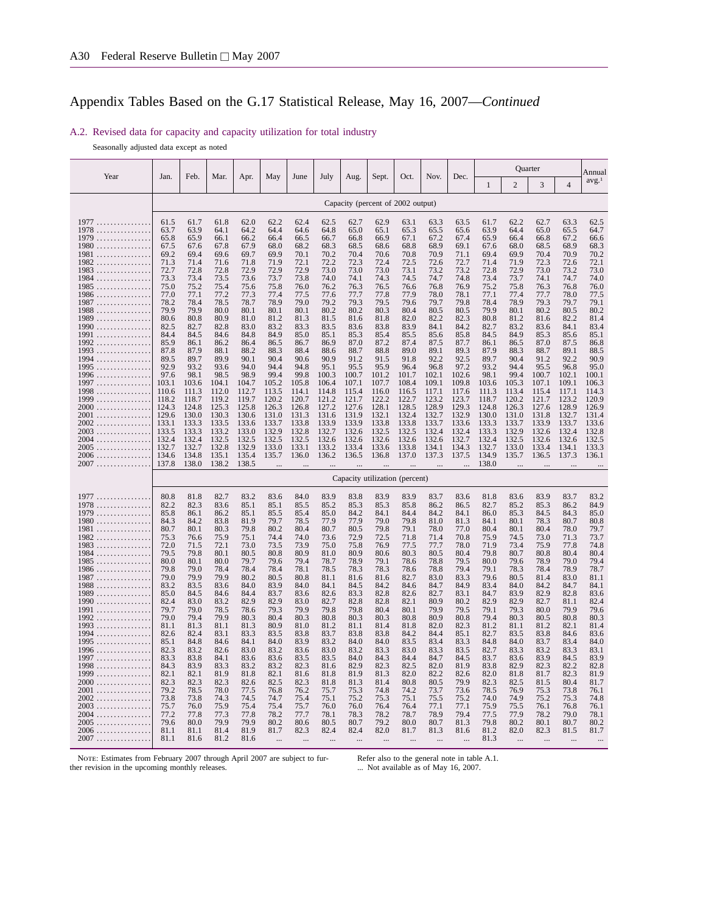#### A.2. Revised data for capacity and capacity utilization for total industry

Seasonally adjusted data except as noted

|                                              |                |                |                |                |                |                |                |                |                |                                   |                |                |                |                | Quarter        |                | Annual            |
|----------------------------------------------|----------------|----------------|----------------|----------------|----------------|----------------|----------------|----------------|----------------|-----------------------------------|----------------|----------------|----------------|----------------|----------------|----------------|-------------------|
| Year                                         | Jan.           | Feb.           | Mar.           | Apr.           | May            | June           | July           | Aug.           | Sept.          | Oct.                              | Nov.           | Dec.           | 1              | $\overline{c}$ | 3              | $\overline{4}$ | avg. <sup>1</sup> |
|                                              |                |                |                |                |                |                |                |                |                | Capacity (percent of 2002 output) |                |                |                |                |                |                |                   |
| 1977                                         | 61.5           | 61.7           | 61.8           | 62.0           | 62.2           | 62.4           | 62.5           | 62.7           | 62.9           | 63.1                              | 63.3           | 63.5           | 61.7           | 62.2           | 62.7           | 63.3           | 62.5              |
| $1978$                                       | 63.7<br>65.8   | 63.9<br>65.9   | 64.1<br>66.1   | 64.2<br>66.2   | 64.4<br>66.4   | 64.6<br>66.5   | 64.8<br>66.7   | 65.0<br>66.8   | 65.1<br>66.9   | 65.3<br>67.1                      | 65.5<br>67.2   | 65.6<br>67.4   | 63.9<br>65.9   | 64.4<br>66.4   | 65.0<br>66.8   | 65.5<br>67.2   | 64.7<br>66.6      |
| 1979<br>$1980 \ldots \ldots \ldots \ldots$   | 67.5           | 67.6           | 67.8           | 67.9           | 68.0           | 68.2           | 68.3           | 68.5           | 68.6           | 68.8                              | 68.9           | 69.1           | 67.6           | 68.0           | 68.5           | 68.9           | 68.3              |
| 1981                                         | 69.2           | 69.4           | 69.6           | 69.7           | 69.9           | 70.1           | 70.2           | 70.4           | 70.6           | 70.8                              | 70.9           | 71.1           | 69.4           | 69.9           | 70.4           | 70.9           | 70.2              |
| $1982 \ldots \ldots \ldots \ldots$<br>$1983$ | 71.3<br>72.7   | 71.4<br>72.8   | 71.6<br>72.8   | 71.8<br>72.9   | 71.9<br>72.9   | 72.1<br>72.9   | 72.2<br>73.0   | 72.3<br>73.0   | 72.4<br>73.0   | 72.5<br>73.1                      | 72.6<br>73.2   | 72.7<br>73.2   | 71.4<br>72.8   | 71.9<br>72.9   | 72.3<br>73.0   | 72.6<br>73.2   | 72.1<br>73.0      |
| $1984$                                       | 73.3           | 73.4           | 73.5           | 73.6           | 73.7           | 73.8           | 74.0           | 74.1           | 74.3           | 74.5                              | 74.7           | 74.8           | 73.4           | 73.7           | 74.1           | 74.7           | 74.0              |
| $1985$                                       | 75.0           | 75.2           | 75.4           | 75.6           | 75.8           | 76.0           | 76.2           | 76.3           | 76.5           | 76.6                              | 76.8           | 76.9           | 75.2           | 75.8           | 76.3           | 76.8           | 76.0              |
| $1986 \ldots \ldots \ldots \ldots$<br>1987   | 77.0<br>78.2   | 77.1<br>78.4   | 77.2<br>78.5   | 77.3<br>78.7   | 77.4<br>78.9   | 77.5<br>79.0   | 77.6<br>79.2   | 77.7<br>79.3   | 77.8<br>79.5   | 77.9<br>79.6                      | 78.0<br>79.7   | 78.1<br>79.8   | 77.1<br>78.4   | 77.4<br>78.9   | 77.7<br>79.3   | 78.0<br>79.7   | 77.5<br>79.1      |
| $1988$                                       | 79.9           | 79.9           | 80.0           | 80.1           | 80.1           | 80.1           | 80.2           | 80.2           | 80.3           | 80.4                              | 80.5           | 80.5           | 79.9           | 80.1           | 80.2           | 80.5           | 80.2              |
| $1989$                                       | 80.6           | 80.8           | 80.9           | 81.0           | 81.2           | 81.3           | 81.5           | 81.6           | 81.8           | 82.0                              | 82.2           | 82.3           | 80.8           | 81.2           | 81.6           | 82.2           | 81.4              |
| 1990<br>1991                                 | 82.5<br>84.4   | 82.7<br>84.5   | 82.8<br>84.6   | 83.0<br>84.8   | 83.2<br>84.9   | 83.3<br>85.0   | 83.5<br>85.1   | 83.6<br>85.3   | 83.8<br>85.4   | 83.9<br>85.5                      | 84.1<br>85.6   | 84.2<br>85.8   | 82.7<br>84.5   | 83.2<br>84.9   | 83.6<br>85.3   | 84.1<br>85.6   | 83.4<br>85.1      |
| 1992<br>.                                    | 85.9           | 86.1           | 86.2           | 86.4           | 86.5           | 86.7           | 86.9           | 87.0           | 87.2           | 87.4                              | 87.5           | 87.7           | 86.1           | 86.5           | 87.0           | 87.5           | 86.8              |
| 1993                                         | 87.8           | 87.9           | 88.1           | 88.2           | 88.3           | 88.4           | 88.6           | 88.7           | 88.8           | 89.0                              | 89.1           | 89.3           | 87.9           | 88.3           | 88.7           | 89.1           | 88.5              |
| 1994<br>$1995$                               | 89.5<br>92.9   | 89.7<br>93.2   | 89.9<br>93.6   | 90.1<br>94.0   | 90.4<br>94.4   | 90.6<br>94.8   | 90.9<br>95.1   | 91.2<br>95.5   | 91.5<br>95.9   | 91.8<br>96.4                      | 92.2<br>96.8   | 92.5<br>97.2   | 89.7<br>93.2   | 90.4<br>94.4   | 91.2<br>95.5   | 92.2<br>96.8   | 90.9<br>95.0      |
| $1996 \ldots \ldots \ldots \ldots$           | 97.6           | 98.1           | 98.5           | 98.9           | 99.4           | 99.8           | 100.3          | 100.7          | 101.2          | 101.7                             | 102.1          | 102.6          | 98.1           | 99.4           | 100.7          | 102.1          | 100.1             |
| 1997                                         | 103.1          | 103.6          | 104.1          | 104.7          | 105.2          | 105.8          | 106.4          | 107.1          | 107.7          | 108.4                             | 109.1          | 109.8          | 103.6          | 105.3          | 107.1          | 109.1          | 106.3             |
| 1998<br>1999<br>.                            | 110.6<br>118.2 | 111.3<br>118.7 | 112.0<br>119.2 | 112.7<br>119.7 | 113.5<br>120.2 | 114.1<br>120.7 | 114.8<br>121.2 | 115.4<br>121.7 | 116.0<br>122.2 | 116.5<br>122.7                    | 117.1<br>123.2 | 117.6<br>123.7 | 111.3<br>118.7 | 113.4<br>120.2 | 115.4<br>121.7 | 117.1<br>123.2 | 114.3<br>120.9    |
| $2000$                                       | 124.3          | 124.8          | 125.3          | 125.8          | 126.3          | 126.8          | 127.2          | 127.6          | 128.1          | 128.5                             | 128.9          | 129.3          | 124.8          | 126.3          | 127.6          | 128.9          | 126.9             |
| 2001                                         | 129.6          | 130.0          | 130.3          | 130.6          | 131.0          | 131.3          | 131.6          | 131.9          | 132.1          | 132.4                             | 132.7          | 132.9          | 130.0          | 131.0          | 131.8          | 132.7          | 131.4             |
| $2002$                                       | 133.1<br>133.5 | 133.3<br>133.3 | 133.5<br>133.2 | 133.6<br>133.0 | 133.7<br>132.9 | 133.8<br>132.8 | 133.9<br>132.7 | 133.9<br>132.6 | 133.8<br>132.5 | 133.8<br>132.5                    | 133.7<br>132.4 | 133.6<br>132.4 | 133.3<br>133.3 | 133.7<br>132.9 | 133.9<br>132.6 | 133.7<br>132.4 | 133.6<br>132.8    |
| $2003$<br>2004                               | 132.4          | 132.4          | 132.5          | 132.5          | 132.5          | 132.5          | 132.6          | 132.6          | 132.6          | 132.6                             | 132.6          | 132.7          | 132.4          | 132.5          | 132.6          | 132.6          | 132.5             |
| 2005                                         | 132.7          | 132.7          | 132.8          | 132.9          | 133.0          | 133.1          | 133.2          | 133.4          | 133.6          | 133.8                             | 134.1          | 134.3          | 132.7          | 133.0          | 133.4          | 134.1          | 133.3             |
| 2006                                         | 134.6<br>137.8 | 134.8<br>138.0 | 135.1<br>138.2 | 135.4<br>138.5 | 135.7          | 136.0          | 136.2          | 136.5          | 136.8          | 137.0                             | 137.3          | 137.5          | 134.9<br>138.0 | 135.7          | 136.5          | 137.3          | 136.1             |
| 2007                                         |                |                |                |                | $\ddotsc$      |                |                |                |                |                                   | $\ddotsc$      | $\ddotsc$      |                | $\ddotsc$      | $\ddotsc$      | $\ddotsc$      |                   |
|                                              |                |                |                |                |                |                |                |                |                | Capacity utilization (percent)    |                |                |                |                |                |                |                   |
| 1977                                         | 80.8           | 81.8           | 82.7           | 83.2           | 83.6           | 84.0           | 83.9           | 83.8           | 83.9           | 83.9                              | 83.7           | 83.6           | 81.8           | 83.6           | 83.9           | 83.7           | 83.2              |
| 1978                                         | 82.2<br>85.8   | 82.3<br>86.1   | 83.6<br>86.2   | 85.1<br>85.1   | 85.1<br>85.5   | 85.5<br>85.4   | 85.2<br>85.0   | 85.3<br>84.2   | 85.3<br>84.1   | 85.8<br>84.4                      | 86.2<br>84.2   | 86.5<br>84.1   | 82.7<br>86.0   | 85.2<br>85.3   | 85.3<br>84.5   | 86.2<br>84.3   | 84.9<br>85.0      |
| 1979<br>$1980 \ldots \ldots \ldots \ldots$   | 84.3           | 84.2           | 83.8           | 81.9           | 79.7           | 78.5           | 77.9           | 77.9           | 79.0           | 79.8                              | 81.0           | 81.3           | 84.1           | 80.1           | 78.3           | 80.7           | 80.8              |
| 1981                                         | 80.7           | 80.1           | 80.3           | 79.8           | 80.2           | 80.4           | 80.7           | 80.5           | 79.8           | 79.1                              | 78.0           | 77.0           | 80.4           | 80.1           | 80.4           | 78.0           | 79.7              |
| $1982$                                       | 75.3<br>72.0   | 76.6<br>71.5   | 75.9<br>72.1   | 75.1<br>73.0   | 74.4<br>73.5   | 74.0<br>73.9   | 73.6<br>75.0   | 72.9<br>75.8   | 72.5<br>76.9   | 71.8<br>77.5                      | 71.4<br>77.7   | 70.8<br>78.0   | 75.9<br>71.9   | 74.5<br>73.4   | 73.0<br>75.9   | 71.3<br>77.8   | 73.7<br>74.8      |
| $1983$<br>1984                               | 79.5           | 79.8           | 80.1           | 80.5           | 80.8           | 80.9           | 81.0           | 80.9           | 80.6           | 80.3                              | 80.5           | 80.4           | 79.8           | 80.7           | 80.8           | 80.4           | 80.4              |
| 1985                                         | 80.0           | 80.1           | 80.0           | 79.7           | 79.6           | 79.4           | 78.7           | 78.9           | 79.1           | 78.6                              | 78.8           | 79.5           | 80.0           | 79.6           | 78.9           | 79.0           | 79.4              |
| 1986<br>1987                                 | 79.8<br>79.0   | 79.0<br>79.9   | 78.4<br>79.9   | 78.4<br>80.2   | 78.4<br>80.5   | 78.1<br>80.8   | 78.5<br>81.1   | 78.3<br>81.6   | 78.3<br>81.6   | 78.6<br>82.7                      | 78.8<br>83.0   | 79.4<br>83.3   | 79.1<br>79.6   | 78.3<br>80.5   | 78.4<br>81.4   | 78.9<br>83.0   | 78.7<br>81.1      |
| $1988$                                       | 83.2           | 83.5           | 83.6           | 84.0           | 83.9           | 84.0           | 84.1           | 84.5           | 84.2           | 84.6                              | 84.7           | 84.9           | 83.4           | 84.0           | 84.2           | 84.7           | 84.1              |
| 1989                                         | 85.0           | 84.5           | 84.6           | 84.4           | 83.7           | 83.6           | 82.6           | 83.3           | 82.8           | 82.6                              | 82.7           | 83.1           | 84.7           | 83.9           | 82.9           | 82.8           | 83.6              |
| 1990                                         | 82.4<br>79.7   | 83.0<br>79.0   | 83.2<br>78.5   | 82.9<br>78.6   | 82.9<br>79.3   | 83.0<br>79.9   | 82.7<br>79.8   | 82.8<br>79.8   | 82.8<br>80.4   | 82.1<br>80.1                      | 80.9<br>79.9   | 80.2<br>79.5   | 82.9<br>79.1   | 82.9<br>79.3   | 82.7<br>80.0   | 81.1<br>79.9   | 82.4<br>79.6      |
| 1991<br>1992                                 | 79.0           | 79.4           | 79.9           | 80.3           | 80.4           | 80.3           | 80.8           | 80.3           | 80.3           | 80.8                              | 80.9           | 80.8           | 79.4           | 80.3           | 80.5           | 80.8           | 80.3              |
| $1993$                                       | 81.1           | 81.3           | 81.1           | 81.3           | 80.9           | 81.0           | 81.2           | 81.1           | 81.4           | 81.8                              | 82.0           | 82.3           | 81.2           | 81.1           | 81.2           | 82.1           | 81.4              |
| 1994                                         | 82.6<br>85.1   | 82.4<br>84.8   | 83.1<br>84.6   | 83.3<br>84.1   | 83.5<br>84.0   | 83.8<br>83.9   | 83.7<br>83.2   | 83.8<br>84.0   | 83.8<br>84.0   | 84.2<br>83.5                      | 84.4<br>83.4   | 85.1<br>83.3   | 82.7<br>84.8   | 83.5<br>84.0   | 83.8<br>83.7   | 84.6<br>83.4   | 83.6<br>84.0      |
| 1995<br>1996                                 | 82.3           | 83.2           | 82.6           | 83.0           | 83.2           | 83.6           | 83.0           | 83.2           | 83.3           | 83.0                              | 83.3           | 83.5           | 82.7           | 83.3           | 83.2           | 83.3           | 83.1              |
| 1997                                         | 83.3           | 83.8           | 84.1           | 83.6           | 83.6           | 83.5           | 83.5           | 84.0           | 84.3           | 84.4                              | 84.7           | 84.5           | 83.7           | 83.6           | 83.9           | 84.5           | 83.9              |
| 1998                                         | 84.3<br>82.1   | 83.9           | 83.3           | 83.2           | 83.2           | 82.3           | 81.6<br>81.8   | 82.9<br>81.9   | 82.3           | 82.5                              | 82.0           | 81.9           | 83.8           | 82.9           | 82.3<br>81.7   | 82.2           | 82.8              |
| 1999<br>$2000$                               | 82.3           | 82.1<br>82.3   | 81.9<br>82.3   | 81.8<br>82.6   | 82.1<br>82.5   | 81.6<br>82.3   | 81.8           | 81.3           | 81.3<br>81.4   | 82.0<br>80.8                      | 82.2<br>80.5   | 82.6<br>79.9   | 82.0<br>82.3   | 81.8<br>82.5   | 81.5           | 82.3<br>80.4   | 81.9<br>81.7      |
| 2001                                         | 79.2           | 78.5           | 78.0           | 77.5           | 76.8           | 76.2           | 75.7           | 75.3           | 74.8           | 74.2                              | 73.7           | 73.6           | 78.5           | 76.9           | 75.3           | 73.8           | 76.1              |
| $2002$                                       | 73.8           | 73.8           | 74.3           | 74.5           | 74.7           | 75.4           | 75.1           | 75.2           | 75.3           | 75.1                              | 75.5           | 75.2           | 74.0           | 74.9           | 75.2           | 75.3           | 74.8              |
| 2003<br>$2004$                               | 75.7<br>77.2   | 76.0<br>77.8   | 75.9<br>77.3   | 75.4<br>77.8   | 75.4<br>78.2   | 75.7<br>77.7   | 76.0<br>78.1   | 76.0<br>78.3   | 76.4<br>78.2   | 76.4<br>78.7                      | 77.1<br>78.9   | 77.1<br>79.4   | 75.9<br>77.5   | 75.5<br>77.9   | 76.1<br>78.2   | 76.8<br>79.0   | 76.1<br>78.1      |
| $2005\ldots\ldots\ldots\ldots\ldots$         | 79.6           | 80.0           | 79.9           | 79.9           | 80.2           | 80.6           | 80.5           | 80.7           | 79.2           | 80.0                              | 80.7           | 81.3           | 79.8           | 80.2           | 80.1           | 80.7           | 80.2              |
| $2006$                                       | 81.1           | 81.1           | 81.4           | 81.9           | 81.7           | 82.3           | 82.4           | 82.4           | 82.0           | 81.7                              | 81.3           | 81.6           | 81.2           | 82.0           | 82.3           | 81.5           | 81.7              |
| 2007                                         | 81.1           | 81.6           | 81.2           | 81.6           |                |                |                |                |                |                                   |                |                | 81.3           |                |                |                |                   |

Note: Estimates from February 2007 through April 2007 are subject to fur-<br>ther revision in the upcoming monthly releases.

Refer also to the general note in table A.1. ... Not available as of May 16, 2007.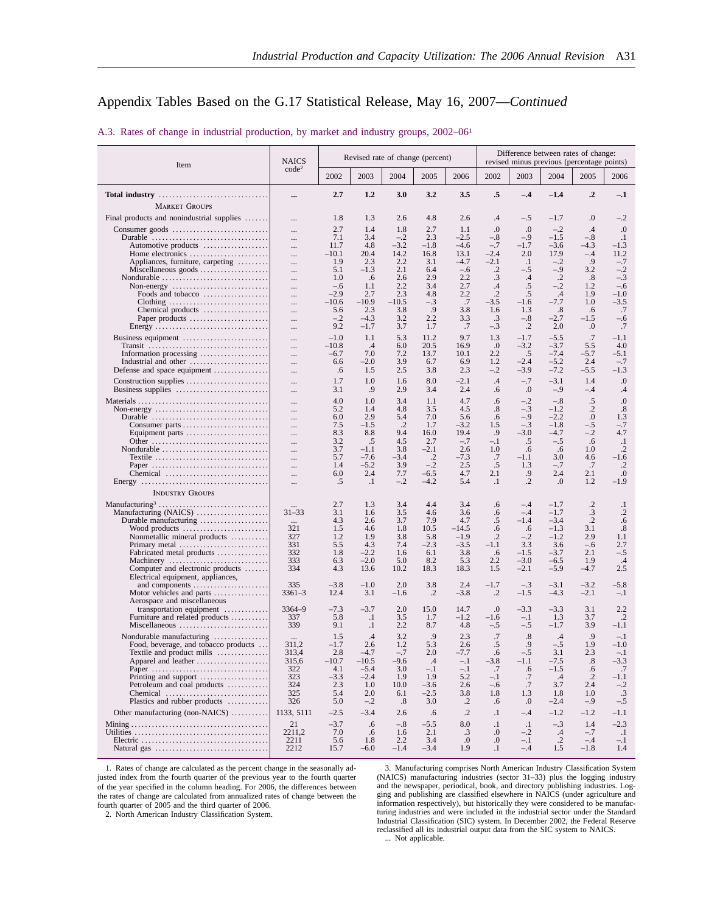| A.3. Rates of change in industrial production, by market and industry groups, 2002–06 <sup>1</sup> |  |  |
|----------------------------------------------------------------------------------------------------|--|--|
|----------------------------------------------------------------------------------------------------|--|--|

| Item                                                                                 | <b>NAICS</b>         |                |                    | Revised rate of change (percent) |                   |                 |                    |                 |                         | Difference between rates of change:<br>revised minus previous (percentage points) |                      |
|--------------------------------------------------------------------------------------|----------------------|----------------|--------------------|----------------------------------|-------------------|-----------------|--------------------|-----------------|-------------------------|-----------------------------------------------------------------------------------|----------------------|
|                                                                                      | code <sup>2</sup>    | 2002           | 2003               | 2004                             | 2005              | 2006            | 2002               | 2003            | 2004                    | 2005                                                                              | 2006                 |
| Total industry                                                                       | $\cdots$             | 2.7            | 1,2                | 3.0                              | 3.2               | 3.5             | .5                 | $-.4$           | $-1.4$                  | $\cdot$ <sup>2</sup>                                                              | $-.1$                |
| <b>MARKET GROUPS</b>                                                                 |                      | 1.8            | 1.3                | 2.6                              | 4.8               | 2.6             | $\cdot$ 4          | $-.5$           | $-1.7$                  | $_{0}$                                                                            | $-.2$                |
| Final products and nonindustrial supplies<br>Consumer goods                          | $\cdots$             | 2.7            | 1.4                | 1.8                              | 2.7               | 1.1             | .0                 | $\cdot$         | $-.2$                   | .4                                                                                | $\cdot$              |
| Durable                                                                              | $\cdots$<br>$\cdots$ | 7.1            | 3.4                | $-.2$                            | 2.3               | $-2.5$          | $-.8$              | $-.9$           | $-1.5$                  | $-.8$                                                                             | $\cdot$              |
| Automotive products                                                                  | $\ldots$             | 11.7           | 4.8                | $-3.2$                           | $-1.8$            | $-4.6$          | $-.7$              | $-1.7$          | $-3.6$                  | $-4.3$                                                                            | -1.3                 |
| Home electronics<br>Appliances, furniture, carpeting                                 | $\cdots$<br>$\ldots$ | $-10.1$<br>1.9 | 20.4<br>2.3        | 14.2<br>2.2                      | 16.8<br>3.1       | 13.1<br>$-4.7$  | $-2.4$<br>$-2.1$   | 2.0<br>$\cdot$  | 17.9<br>$-.2$           | $-.4$<br>.9                                                                       | 11.2<br>$-.7$        |
| Miscellaneous goods                                                                  | $\ldots$             | 5.1            | $-1.3$             | 2.1                              | 6.4               | $-.6$           | $\cdot$ .2         | $-.5$           | $-.9$                   | 3.2                                                                               | $-.2$                |
| Nondurable $\ldots \ldots \ldots \ldots \ldots \ldots \ldots \ldots$                 | $\cdots$             | 1.0<br>$-.6$   | .6<br>1.1          | 2.6<br>2.2                       | 2.9<br>3.4        | 2.2<br>2.7      | .3                 | $.4\,$          | $\cdot$<br>$-.2$        | .8<br>1.2                                                                         | $-.3$<br>$-.6$       |
| Non-energy $\dots\dots\dots\dots\dots\dots\dots\dots\dots\dots$<br>Foods and tobacco | $\cdots$<br>$\ldots$ | $-2.9$         | 2.7                | 2.3                              | 4.8               | 2.2             | .4<br>$\cdot$ .2   | .5<br>.5        | .4                      | 1.9                                                                               | $-1.0$               |
| Clothing                                                                             | $\cdots$             | $-10.6$        | $-10.9$            | $-10.5$                          | $-.3$             | .7              | $-3.5$             | $-1.6$          | $-7.7$                  | 1.0                                                                               | $-3.5$               |
| Chemical products<br>Paper products                                                  | $\cdots$<br>$\cdots$ | 5.6<br>$-.2$   | 2.3<br>$-4.3$      | 3.8<br>3.2                       | .9<br>2.2         | 3.8<br>3.3      | 1.6<br>.3          | 1.3<br>$-.8$    | $.8\,$<br>$-2.7$        | .6<br>$-1.5$                                                                      | .7<br>$-.6$          |
| Energy                                                                               | $\cdots$             | 9.2            | $-1.7$             | 3.7                              | 1.7               | .7              | $-.3$              | $\cdot$ .2      | 2.0                     | .0                                                                                | .7                   |
| Business equipment                                                                   | $\cdots$             | $-1.0$         | 1.1                | 5.3                              | 11.2              | 9.7             | 1.3                | $-1.7$          | $-5.5$                  | .7                                                                                | $-1.1$               |
|                                                                                      | $\ldots$             | $-10.8$        | $\cdot$ .4         | 6.0                              | 20.5              | 16.9            | .0                 | $-3.2$          | $-3.7$                  | 5.5                                                                               | 4.0                  |
| Information processing<br>Industrial and other                                       | $\cdots$<br>$\cdots$ | $-6.7$<br>6.6  | 7.0<br>$-2.0$      | 7.2<br>3.9                       | 13.7<br>6.7       | 10.1<br>6.9     | 2.2<br>1.2         | .5<br>$-2.4$    | $-7.4$<br>$-5.2$        | $-5.7$<br>2.4                                                                     | $-5.1$<br>$-.7$      |
| Defense and space equipment                                                          | $\ldots$             | .6             | 1.5                | 2.5                              | 3.8               | 2.3             | $-.2$              | $-3.9$          | $-7.2$                  | $-5.5$                                                                            | $-1.3$               |
|                                                                                      | <br>$\ldots$         | 1.7<br>3.1     | 1.0<br>.9          | 1.6<br>2.9                       | 8.0<br>3.4        | $-2.1$<br>2.4   | $\cdot$ 4<br>.6    | $-.7$<br>.0     | $-3.1$<br>$-.9$         | 1.4<br>$-.4$                                                                      | $\cdot$<br>.4        |
|                                                                                      | $\ldots$             | 4.0            | 1.0                | 3.4                              | 1.1               | 4.7             | .6                 | $-.2$           | $-.8$                   | .5                                                                                | 0.                   |
|                                                                                      | $\ldots$             | 5.2<br>6.0     | 1.4<br>2.9         | 4.8                              | 3.5               | 4.5             | $.8\,$             | $-.3$           | $-1.2$<br>$-2.2$        | $\cdot$ .2<br>$\cdot$                                                             | $.8\,$               |
| Durable<br>Consumer parts                                                            | <br>$\cdots$         | 7.5            | $-1.5$             | 5.4<br>$\cdot$ .2                | 7.0<br>1.7        | 5.6<br>$-3.2$   | .6<br>1.5          | $-.9$<br>$-.3$  | $-1.8$                  | $-.5$                                                                             | 1.3<br>$-.7$         |
| Equipment parts                                                                      |                      | 8.3            | 8.8                | 9.4                              | 16.0              | 19.4            | .9                 | $-3.0$          | $-4.7$                  | $-.2$                                                                             | 4.7                  |
| Other<br>Nondurable $\ldots \ldots \ldots \ldots \ldots \ldots \ldots \ldots \ldots$ | <br>$\cdots$         | 3.2<br>3.7     | .5<br>$-1.1$       | 4.5<br>3.8                       | 2.7<br>$-2.1$     | $-.7$<br>2.6    | $-.1$<br>1.0       | .5<br>.6        | $-.5$<br>.6             | .6<br>1.0                                                                         | $\cdot$<br>$\cdot$   |
| Textile                                                                              |                      | 5.7            | $-7.6$             | $-3.4$                           | $\cdot$           | $-7.3$          | .7                 | $-1.1$          | 3.0                     | 4.6                                                                               | $-1.6$               |
| Paper                                                                                | $\ldots$             | 1.4            | $-5.2$             | 3.9                              | $-.2$             | 2.5             | .5                 | 1.3             | $-.7$                   | .7                                                                                | $\cdot$<br>.0        |
| Chemical                                                                             | $\cdots$<br>$\ldots$ | 6.0<br>.5      | 2.4<br>$\cdot$     | 7.7<br>$-.2$                     | $-6.5$<br>$-4.2$  | 4.7<br>5.4      | 2.1<br>$\cdot$     | .9<br>$\cdot$   | 2.4<br>.0               | 2.1<br>1.2                                                                        | $-1.9$               |
| <b>INDUSTRY GROUPS</b>                                                               |                      |                |                    |                                  |                   |                 |                    |                 |                         |                                                                                   |                      |
|                                                                                      |                      | 2.7            | 1.3                | 3.4                              | 4.4               | 3.4             | .6                 | $-.4$           | $-1.7$                  | $\cdot$                                                                           | $\cdot$              |
| Manufacturing (NAICS)                                                                | $31 - 33$            | 3.1            | 1.6                | 3.5                              | 4.6               | 3.6             | .6                 | $-.4$           | $-1.7$                  | .3                                                                                | $\cdot$              |
| Durable manufacturing<br>Wood products                                               | $\cdots$<br>321      | 4.3<br>1.5     | 2.6<br>4.6         | 3.7<br>1.8                       | 7.9<br>10.5       | 4.7<br>$-14.5$  | .5<br>.6           | $-1.4$<br>.6    | $-3.4$<br>$-1.3$        | $\cdot$ .2<br>3.1                                                                 | .6<br>$.8\,$         |
| Nonmetallic mineral products                                                         | 327                  | 1.2            | 1.9                | 3.8                              | 5.8               | $-1.9$          | $\cdot$            | $-.2$           | $-1.2$                  | 2.9                                                                               | 1.1                  |
| Primary metal                                                                        | 331<br>332           | 5.5<br>1.8     | 4.3<br>$-2.2$      | 7.4<br>1.6                       | $-2.3$<br>6.1     | $-3.5$<br>3.8   | -1.1<br>.6         | 3.3<br>$-1.5$   | 3.6<br>$-3.7$           | $-.6$<br>2.1                                                                      | 2.7<br>$-.5$         |
| Fabricated metal products<br>Machinery                                               | 333                  | 6.3            | $-2.0$             | 5.0                              | 8.2               | 5.3             | 2.2                | $-3.0$          | $-6.5$                  | 1.9                                                                               | .4                   |
| Computer and electronic products                                                     | 334                  | 4.3            | 13.6               | 10.2                             | 18.3              | 18.3            | 1.5                | $-2.1$          | $-5.9$                  | -4.7                                                                              | 2.5                  |
| Electrical equipment, appliances,<br>and components                                  | 335                  | $-3.8$         | $-1.0$             | 2.0                              | 3.8               | 2.4             | $-1.7$             | $-.3$           | $-3.1$                  | $-3.2$                                                                            | -5.8                 |
| Motor vehicles and parts<br>Aerospace and miscellaneous                              | $3361 - 3$           | 12.4           | 3.1                | $-1.6$                           | $\cdot$           | $-3.8$          | $\cdot$ .2         | $-1.5$          | $-4.3$                  | $-2.1$                                                                            | $-.1$                |
| transportation equipment                                                             | $3364 - 9$           | $-7.3$         | $-3.7$             | 2.0                              | 15.0              | 14.7            | .0                 | $-3.3$          | $-3.3$                  | 3.1                                                                               | 2.2                  |
| Furniture and related products<br>Miscellaneous                                      | 337<br>339           | 5.8<br>9.1     | $\cdot$<br>$\cdot$ | 3.5<br>2.2                       | 1.7<br>8.7        | $-1.2$<br>4.8   | $^{-1.6}$<br>$-.5$ | $-.1$<br>$-.5$  | 1.3<br>$-1.7$           | 3.7<br>3.9                                                                        | $\cdot$ .2<br>$-1.1$ |
| Nondurable manufacturing                                                             |                      | 1.5            | $.4\phantom{0}$    | 3.2                              | .9                | 2.3             | .7                 | $.8\,$          | $\cdot$ 4               | .9                                                                                | $-.1$                |
| Food, beverage, and tobacco products                                                 | 311,2                | $-1.7$         | 2.6                | 1.2                              | 5.3               | 2.6             | .5                 | .9              | $-.5$                   | 1.9                                                                               | $-1.0$               |
| Textile and product mills<br>Apparel and leather                                     | 313,4<br>315,6       | 2.8<br>$-10.7$ | $-4.7$<br>$-10.5$  | $-.7$<br>-9.6                    | 2.0<br>$\cdot$ .4 | $-7.7$<br>$-.1$ | .6<br>$-3.8$       | $-.5$<br>$-1.1$ | 3.1<br>$-7.5$           | 2.3<br>$\boldsymbol{\mathcal{S}}$                                                 | $-.1$<br>$-3.3$      |
|                                                                                      | 322                  | 4.1            | $-5.4$             | 3.0                              | $-.1$             | $-.1$           | .7                 | .6              | $-1.5$                  | .6                                                                                | .7                   |
| Printing and support<br>Petroleum and coal products                                  | 323<br>324           | $-3.3$<br>2.3  | $-2.4$<br>1.0      | 1.9<br>10.0                      | 1.9<br>$-3.6$     | 5.2<br>2.6      | $-.1$<br>$-.6$     | .7<br>.7        | $\cdot$ 4<br>3.7        | $\cdot$ .2<br>2.4                                                                 | $-1.1$<br>$-.2$      |
|                                                                                      | 325                  | 5.4            | 2.0                | 6.1                              | $-2.5$            | 3.8             | 1.8                | 1.3             | 1.8                     | 1.0                                                                               | .3                   |
| Plastics and rubber products                                                         | 326                  | 5.0            | $-.2$              | .8                               | 3.0               | $\cdot$ .2      | .6                 | $\cdot$         | $-2.4$                  | $-.9$                                                                             | $-.5$                |
| Other manufacturing (non-NAICS)                                                      | 1133, 5111           | $-2.5$         | $-3.4$             | 2.6                              | .6                | $\cdot$ .2      | $\cdot$            | $-.4$           | $-1.2$                  | $-1.2$                                                                            | $-1.1$               |
|                                                                                      | 21                   | $-3.7$         | .6                 | $-.8$                            | $-5.5$            | 8.0             | $\cdot$            | $\cdot$         | $-.3$                   | 1.4                                                                               | $-2.3$               |
|                                                                                      | 2211,2<br>2211       | 7.0<br>5.6     | .6<br>1.8          | 1.6<br>2.2                       | 2.1<br>3.4        | .3<br>.0        | $\cdot$<br>.0      | $-.2$<br>$-.1$  | $\cdot$ 4<br>$\cdot$ .2 | $-.7$<br>$-.4$                                                                    | $\cdot$ 1<br>$-.1$   |
|                                                                                      | 2212                 | 15.7           | $-6.0$             | $-1.4$                           | $-3.4$            | 1.9             | $\cdot$            | $-.4$           | 1.5                     | $-1.8$                                                                            | 1.4                  |

1. Rates of change are calculated as the percent change in the seasonally adjusted index from the fourth quarter of the previous year to the fourth quarter of the year specified in the column heading. For 2006, the differences between the rates of change are calculated from annualized rates of change between the fourth quarter of 2005 and the third quarter of 2006.

3. Manufacturing comprises North American Industry Classification System (NAICS) manufacturing industries (sector 31–33) plus the logging industry<br>and the newspaper, periodical, book, and directory publishing industries. L information respectively), but historically they were considered to be manufacturing industries and were included in the industrial sector under the Standard Industrial Classification (SIC) system. In December 2002, the Federal Reserve reclassified all its industrial output data from the SIC system to NAICS. ... Not applicable.

2. North American Industry Classification System.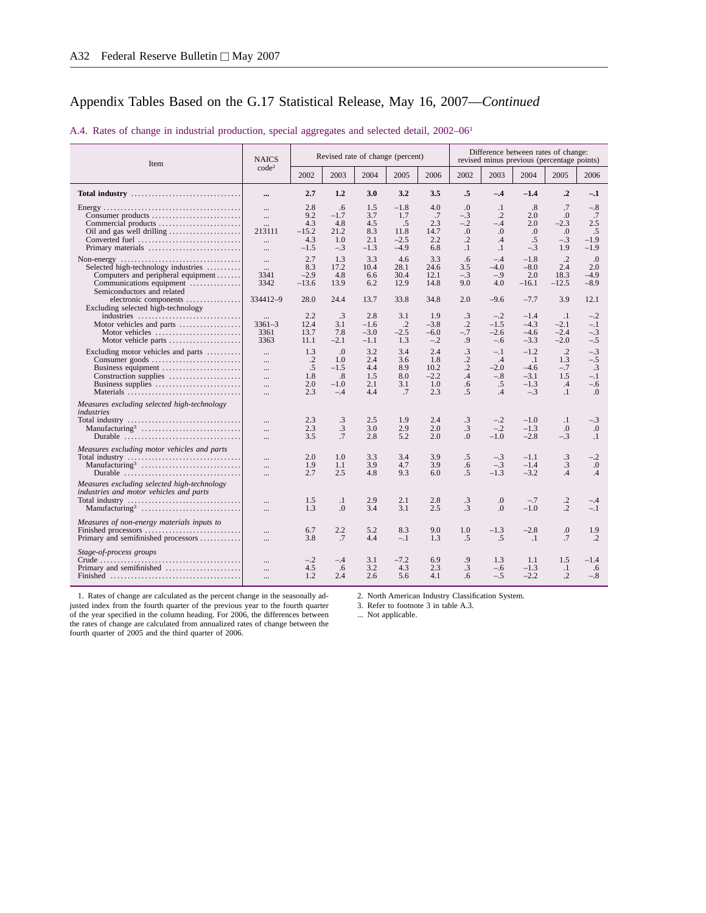| Item                                                                                                                                                                                                                       | <b>NAICS</b>                                                 |                                               |                                              | Revised rate of change (percent)          |                                                 |                                            | Difference between rates of change:<br>revised minus previous (percentage points) |                                                            |                                                            |                                                    |                                                             |  |
|----------------------------------------------------------------------------------------------------------------------------------------------------------------------------------------------------------------------------|--------------------------------------------------------------|-----------------------------------------------|----------------------------------------------|-------------------------------------------|-------------------------------------------------|--------------------------------------------|-----------------------------------------------------------------------------------|------------------------------------------------------------|------------------------------------------------------------|----------------------------------------------------|-------------------------------------------------------------|--|
|                                                                                                                                                                                                                            | code <sup>2</sup>                                            | 2002                                          | 2003                                         | 2004                                      | 2005                                            | 2006                                       | 2002                                                                              | 2003                                                       | 2004                                                       | 2005                                               | 2006                                                        |  |
| Total industry                                                                                                                                                                                                             |                                                              | 2.7                                           | 1.2                                          | 3.0                                       | 3.2                                             | 3.5                                        | .5                                                                                | $-.4$                                                      | $-1.4$                                                     | $\cdot$ <sup>2</sup>                               | $-.1$                                                       |  |
| Consumer products<br>Commercial products<br>Converted fuel<br>Primary materials                                                                                                                                            | <br>$\ddotsc$<br>$\cdots$<br>213111<br>$\ddotsc$<br>$\cdots$ | 2.8<br>9.2<br>4.3<br>$-15.2$<br>4.3<br>$-1.5$ | .6<br>$-1.7$<br>4.8<br>21.2<br>1.0<br>$-.3$  | 1.5<br>3.7<br>4.5<br>8.3<br>2.1<br>$-1.3$ | $-1.8$<br>1.7<br>.5<br>11.8<br>$-2.5$<br>$-4.9$ | 4.0<br>.7<br>2.3<br>14.7<br>2.2<br>6.8     | $\Omega$<br>$-.3$<br>$-.2$<br>0.<br>$\cdot$ .2<br>$\cdot$                         | $\cdot$<br>$\cdot$ .2<br>$-.4$<br>$\cdot$<br>.4<br>$\cdot$ | .8<br>2.0<br>2.0<br>.0<br>.5<br>$-.3$                      | .7<br>.0<br>$-2.3$<br>.0<br>$-.3$<br>1.9           | $-.8$<br>.7<br>2.5<br>.5<br>$-1.9$<br>$-1.9$                |  |
| Non-energy $\dots\dots\dots\dots\dots\dots\dots\dots\dots\dots\dots\dots\dots\dots$<br>Selected high-technology industries<br>Computers and peripheral equipment<br>Communications equipment<br>Semiconductors and related | <br>$\cdots$<br>3341<br>3342                                 | 2.7<br>8.3<br>$-2.9$<br>$-13.6$               | 1.3<br>17.2<br>4.8<br>13.9                   | 3.3<br>10.4<br>6.6<br>6.2                 | 4.6<br>28.1<br>30.4<br>12.9                     | 3.3<br>24.6<br>12.1<br>14.8                | .6<br>3.5<br>$-.3$<br>9.0                                                         | $-.4$<br>$-4.0$<br>$-.9$<br>4.0                            | $-1.8$<br>$-8.0$<br>2.0<br>$-16.1$                         | $\cdot$ .2<br>2.4<br>18.3<br>$-12.5$               | $\cdot$<br>2.0<br>$-4.9$<br>$-8.9$                          |  |
| electronic components<br>Excluding selected high-technology<br>industries<br>Motor vehicles and parts<br>Motor vehicles<br>Motor vehicle parts                                                                             | 334412-9<br>$3361 - 3$<br>3361<br>3363                       | 28.0<br>2.2<br>12.4<br>13.7<br>11.1           | 24.4<br>.3<br>3.1<br>7.8<br>$-2.1$           | 13.7<br>2.8<br>$-1.6$<br>$-3.0$<br>$-1.1$ | 33.8<br>3.1<br>$\cdot$ .2<br>$-2.5$<br>1.3      | 34.8<br>1.9<br>$-3.8$<br>$-6.0$<br>$-.2$   | 2.0<br>.3<br>$\cdot$ .2<br>$-.7$<br>.9                                            | $-9.6$<br>$-.2$<br>$-1.5$<br>$-2.6$<br>$-.6$               | $-7.7$<br>$-1.4$<br>$-4.3$<br>$-4.6$<br>$-3.3$             | 3.9<br>$\cdot$ .1<br>$-2.1$<br>$-2.4$<br>$-2.0$    | 12.1<br>$-.2$<br>$-.1$<br>$-.3$<br>$-.5$                    |  |
| Excluding motor vehicles and parts<br>Business equipment<br>Construction supplies<br>Business supplies<br>Materials                                                                                                        | $\cdots$<br>$\cdots$<br><br>$\cdots$<br>$\cdots$<br>$\cdots$ | 1.3<br>$\cdot$ .2<br>.5<br>1.8<br>2.0<br>2.3  | .0<br>1.0<br>$-1.5$<br>.8<br>$-1.0$<br>$-.4$ | 3.2<br>2.4<br>4.4<br>1.5<br>2.1<br>4.4    | 3.4<br>3.6<br>8.9<br>8.0<br>3.1<br>.7           | 2.4<br>1.8<br>10.2<br>$-2.2$<br>1.0<br>2.3 | .3<br>$\cdot$ .2<br>$\cdot$ .2<br>.4<br>.6<br>.5                                  | $-.1$<br>.4<br>$-2.0$<br>$-.8$<br>.5<br>.4                 | $-1.2$<br>$\cdot$ 1<br>$-4.6$<br>$-3.1$<br>$-1.3$<br>$-.3$ | $\cdot$ .2<br>1.3<br>$-.7$<br>1.5<br>.4<br>$\cdot$ | $-.3$<br>$-.5$<br>$\cdot$ 3<br>$-.1$<br>$-.6$<br>$\Omega$ . |  |
| Measures excluding selected high-technology<br>industries<br>Manufacturing <sup>3</sup><br>Durable $\dots\dots\dots\dots\dots\dots\dots\dots\dots\dots\dots\dots\dots$                                                     | $\cdots$<br>$\cdots$<br>                                     | 2.3<br>2.3<br>3.5                             | $\cdot$ 3<br>.3<br>.7                        | 2.5<br>3.0<br>2.8                         | 1.9<br>2.9<br>5.2                               | 2.4<br>2.0<br>2.0                          | $\cdot$ 3<br>.3<br>$\Omega$ .                                                     | $-.2$<br>$-.2$<br>$-1.0$                                   | $-1.0$<br>$-1.3$<br>$-2.8$                                 | $\cdot$<br>.0<br>$-.3$                             | $-.3$<br>0.<br>$\cdot$                                      |  |
| Measures excluding motor vehicles and parts<br>Manufacturing <sup>3</sup><br>Durable                                                                                                                                       | $\cdots$<br>$\ddotsc$<br>                                    | 2.0<br>1.9<br>2.7                             | 1.0<br>1.1<br>2.5                            | 3.3<br>3.9<br>4.8                         | 3.4<br>4.7<br>9.3                               | 3.9<br>3.9<br>6.0                          | .5<br>.6<br>$.5\,$                                                                | $-.3$<br>$-.3$<br>$-1.3$                                   | $-1.1$<br>$-1.4$<br>$-3.2$                                 | .3<br>.3<br>.4                                     | $-.2$<br>0.<br>.4                                           |  |
| Measures excluding selected high-technology<br>industries and motor vehicles and parts<br>Manufacturing <sup>3</sup>                                                                                                       | $\cdots$                                                     | 1.5<br>1.3                                    | $\cdot$ 1<br>.0                              | 2.9<br>3.4                                | 2.1<br>3.1                                      | 2.8<br>2.5                                 | $\cdot$ 3<br>$\cdot$ 3                                                            | 0.<br>$\Omega$ .                                           | $-.7$<br>$-1.0$                                            | $\cdot$ .2<br>$\cdot$ .2                           | $-.4$<br>$-.1$                                              |  |
| Measures of non-energy materials inputs to<br>Finished processors<br>Primary and semifinished processors                                                                                                                   | <br>                                                         | 6.7<br>3.8                                    | 2.2<br>.7                                    | 5.2<br>4.4                                | 8.3<br>$-.1$                                    | 9.0<br>1.3                                 | 1.0<br>.5                                                                         | $-1.3$<br>.5                                               | $-2.8$<br>$\cdot$                                          | $\boldsymbol{0}$<br>.7                             | 1.9<br>$\cdot$                                              |  |
| Stage-of-process groups<br>Primary and semifinished                                                                                                                                                                        | $\cdots$<br><br>$\ddotsc$                                    | $-.2$<br>4.5<br>1.2                           | $-.4$<br>.6<br>2.4                           | 3.1<br>3.2<br>2.6                         | $-7.2$<br>4.3<br>5.6                            | 6.9<br>2.3<br>4.1                          | .9<br>$\cdot$ 3<br>6.6                                                            | 1.3<br>$-.6$<br>$-.5$                                      | 1.1<br>$-1.3$<br>$-2.2$                                    | 1.5<br>$\cdot$<br>$\cdot$ .2                       | $-1.4$<br>.6<br>$-.8$                                       |  |

#### A.4. Rates of change in industrial production, special aggregates and selected detail, 2002–061

1. Rates of change are calculated as the percent change in the seasonally adjusted index from the fourth quarter of the previous year to the fourth quarter of the year specified in the column heading. For 2006, the differences between the rates of change are calculated from annualized rates of change between the fourth quarter of 2005 and the third quarter of 2006.

2. North American Industry Classification System.

3. Refer to footnote 3 in table A.3.

... Not applicable.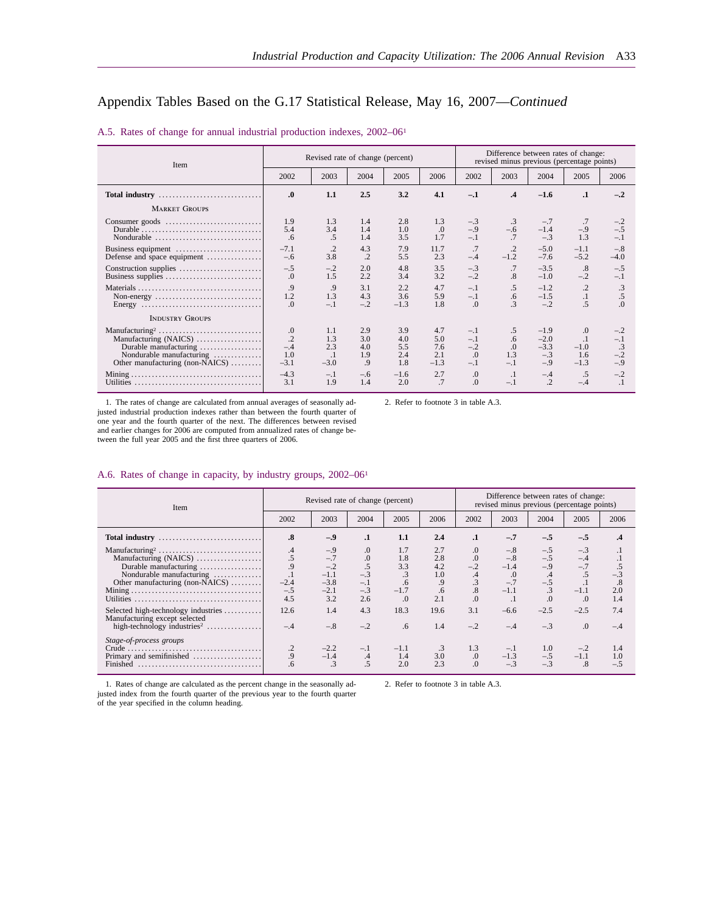#### A.5. Rates of change for annual industrial production indexes, 2002–061

| Item                            |                 | Revised rate of change (percent) |         |        | Difference between rates of change:<br>revised minus previous (percentage points) |            |               |                 |            |            |
|---------------------------------|-----------------|----------------------------------|---------|--------|-----------------------------------------------------------------------------------|------------|---------------|-----------------|------------|------------|
|                                 | 2002            | 2003                             | 2004    | 2005   | 2006                                                                              | 2002       | 2003          | 2004            | 2005       | 2006       |
| Total industry                  | $\Omega$        | 1.1                              | 2.5     | 3.2    | 4.1                                                                               | $-.1$      | $\mathbf{.4}$ | $-1.6$          | $\cdot$    | $-.2$      |
| <b>MARKET GROUPS</b>            |                 |                                  |         |        |                                                                                   |            |               |                 |            |            |
|                                 | 1.9             | 1.3                              | 1.4     | 2.8    | 1.3                                                                               | $-.3$      | .3            | $-.7$           | .7         | $-.2$      |
|                                 | 5.4             | 3.4                              | 1.4     | 1.0    | .0                                                                                | $-.9$      | $-.6$         | $-1.4$          | $-.9$      | $-.5$      |
| Nondurable                      | .6              | .5                               | 1.4     | 3.5    | 1.7                                                                               | $-.1$      | .7            | $-.3$           | 1.3        | $-.1$      |
| Business equipment              | $-7.1$          | $\cdot$                          | 4.3     | 7.9    | 11.7                                                                              | .7         | $\cdot$       | $-5.0$          | $-1.1$     | $-.8$      |
| Defense and space equipment     | $-.6$           | 3.8                              | $\cdot$ | 5.5    | 2.3                                                                               | $-.4$      | $-1.2$        | $-7.6$          | $-5.2$     | $-4.0$     |
|                                 | $-.5$           | $-.2$                            | 2.0     | 4.8    | 3.5                                                                               | $-.3$      | .7            | $-3.5$          | .8         | $-.5$      |
|                                 | .0              | 1.5                              | 2.2     | 3.4    | 3.2                                                                               | $-.2$      | .8            | $-1.0$          | $-.2$      | $-.1$      |
|                                 | .9              | .9                               | 3.1     | 2.2    | 4.7                                                                               | $-.1$      | .5            | $-1.2$          | $\cdot$ .2 | .3         |
|                                 | 1.2             | 1.3                              | 4.3     | 3.6    | 5.9                                                                               | $-.1$      | .6            | $-1.5$          | $\cdot$ 1  | .5         |
|                                 | $\Omega$        | $-.1$                            | $-.2$   | $-1.3$ | 1.8                                                                               | $\Omega$   | 3             | $-.2$           | .5         | $\Omega$ . |
| <b>INDUSTRY GROUPS</b>          |                 |                                  |         |        |                                                                                   |            |               |                 |            |            |
|                                 | .0              | 1.1                              | 2.9     | 3.9    | 4.7                                                                               | $-.1$      | $.5\,$        | $-1.9$          | $\cdot$    | $-.2$      |
| Manufacturing (NAICS)           | $\overline{.2}$ | 1.3                              | 3.0     | 4.0    | 5.0                                                                               | $-.1$      | .6            | $-2.0$          | $\cdot$    | $-.1$      |
| Durable manufacturing           | $-.4$           | 2.3                              | 4.0     | 5.5    | 7.6                                                                               | $-.2$      | .0            | $-3.3$          | $-1.0$     | $\cdot$ 3  |
| Nondurable manufacturing        | 1.0             | $\cdot$                          | 1.9     | 2.4    | 2.1                                                                               | $\Omega$   | 1.3           | $-.3$           | 1.6        | $-.2$      |
| Other manufacturing (non-NAICS) | $-3.1$          | $-3.0$                           | .9      | 1.8    | $-1.3$                                                                            | $-.1$      | $-.1$         | $-.9$           | $-1.3$     | $-.9$      |
|                                 | $-4.3$          | $-.1$                            | $-.6$   | $-1.6$ | 2.7                                                                               | 0.         | $\cdot$       | $-.4$           | .5         | $-.2$      |
|                                 | 3.1             | 1.9                              | 1.4     | 2.0    | .7                                                                                | $\Omega$ . | $-.1$         | $\overline{.2}$ | $-.4$      | $\cdot$    |

1. The rates of change are calculated from annual averages of seasonally ad-justed industrial production indexes rather than between the fourth quarter of one year and the fourth quarter of the next. The differences between revised and earlier changes for 2006 are computed from annualized rates of change be-tween the full year 2005 and the first three quarters of 2006.

2. Refer to footnote 3 in table A.3.

#### A.6. Rates of change in capacity, by industry groups, 2002–061

| Item                                                                                                                                                                               |                                                         | Revised rate of change (percent)                                    |                                                   |                                                       | Difference between rates of change:<br>revised minus previous (percentage points) |                                                       |                                                             |                                                  |                                                          |                                  |
|------------------------------------------------------------------------------------------------------------------------------------------------------------------------------------|---------------------------------------------------------|---------------------------------------------------------------------|---------------------------------------------------|-------------------------------------------------------|-----------------------------------------------------------------------------------|-------------------------------------------------------|-------------------------------------------------------------|--------------------------------------------------|----------------------------------------------------------|----------------------------------|
|                                                                                                                                                                                    | 2002                                                    | 2003                                                                | 2004                                              | 2005                                                  | 2006                                                                              | 2002                                                  | 2003                                                        | 2004                                             | 2005                                                     | 2006                             |
| Total industry                                                                                                                                                                     | $\boldsymbol{.8}$                                       | $-.9$                                                               | $\cdot$                                           | 1.1                                                   | 2.4                                                                               | $\cdot$                                               | $-.7$                                                       | $-.5$                                            | $-.5$                                                    | $\cdot^4$                        |
| Manufacturing <sup>2</sup><br>Manufacturing (NAICS)<br>Durable manufacturing<br>Nondurable manufacturing<br>Other manufacturing (non-NAICS)<br>Selected high-technology industries | .4<br>.5<br>.9<br>. 1<br>$-2.4$<br>$-.5$<br>4.5<br>12.6 | $-.9$<br>$-.7$<br>$-.2$<br>$-1.1$<br>$-3.8$<br>$-2.1$<br>3.2<br>1.4 | .0<br>0.<br>$-.3$<br>$-.1$<br>$-.3$<br>2.6<br>4.3 | 1.7<br>1.8<br>3.3<br>.6<br>$-1.7$<br>$\Omega$<br>18.3 | 2.7<br>2.8<br>4.2<br>1.0<br>.9<br>.6<br>2.1<br>19.6                               | 0.<br>.0<br>$-.2$<br>.4<br>3<br>.8<br>$\Omega$<br>3.1 | $-.8$<br>$-.8$<br>$-1.4$<br>.0<br>$-.7$<br>$-1.1$<br>$-6.6$ | $-.5$<br>$-.5$<br>$-.9$<br>.4<br>$-.5$<br>$-2.5$ | $-.3$<br>$-.4$<br>$.5\,$<br>$-1.1$<br>$\Omega$<br>$-2.5$ | $-.3$<br>.8<br>2.0<br>1.4<br>7.4 |
| Manufacturing except selected<br>high-technology industries <sup>2</sup>                                                                                                           | $-.4$                                                   | $-.8$                                                               | $-.2$                                             | .6                                                    | 1.4                                                                               | $-.2$                                                 | $-.4$                                                       | $-.3$                                            | $\Omega$ .                                               | $-.4$                            |
| Stage-of-process groups<br>Primary and semifinished<br>Finished                                                                                                                    | $\cdot$<br>.9<br>.6                                     | $-2.2$<br>$-1.4$                                                    | $-.1$<br>.4<br>.5                                 | $-1.1$<br>1.4<br>2.0                                  | 3.0<br>2.3                                                                        | 1.3<br>$\cdot$<br>$\Omega$                            | $-1$<br>$-1.3$<br>$-.3$                                     | 1.0<br>$-.5$                                     | $-.2$<br>$-1.1$<br>.8                                    | 1.4<br>1.0<br>$-.5$              |

1. Rates of change are calculated as the percent change in the seasonally adjusted index from the fourth quarter of the previous year to the fourth quarter 2. Refer to footnote 3 in table A.3.

of the year specified in the column heading.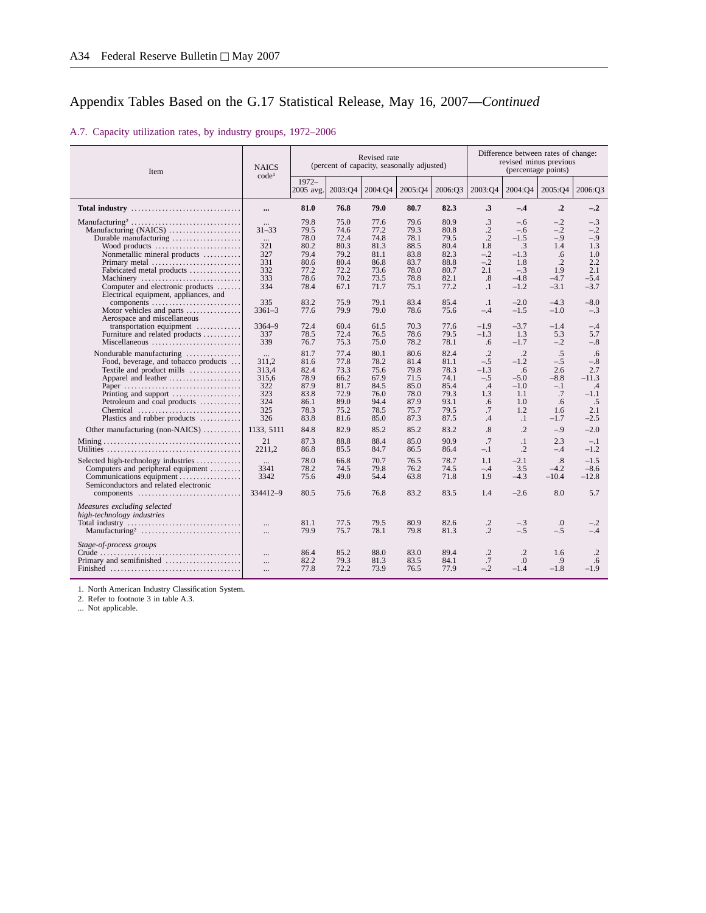A.7. Capacity utilization rates, by industry groups, 1972–2006

| Item                                                                                                                                                                                                                             | <b>NAICS</b><br>code <sup>1</sup>                          |                                                                      |                                                                      | Revised rate<br>(percent of capacity, seasonally adjusted)           |                                                                      | Difference between rates of change:<br>revised minus previous<br>(percentage points) |                                                                              |                                                                                  |                                                                    |                                                                      |
|----------------------------------------------------------------------------------------------------------------------------------------------------------------------------------------------------------------------------------|------------------------------------------------------------|----------------------------------------------------------------------|----------------------------------------------------------------------|----------------------------------------------------------------------|----------------------------------------------------------------------|--------------------------------------------------------------------------------------|------------------------------------------------------------------------------|----------------------------------------------------------------------------------|--------------------------------------------------------------------|----------------------------------------------------------------------|
|                                                                                                                                                                                                                                  |                                                            | $1972 -$<br>2005 avg.                                                | 2003:04                                                              | 2004:Q4                                                              | 2005:04                                                              | 2006:O3                                                                              | 2003:04                                                                      | 2004:Q4                                                                          | 2005:Q4                                                            | 2006:O3                                                              |
| Total industry                                                                                                                                                                                                                   |                                                            | 81.0                                                                 | 76.8                                                                 | 79.0                                                                 | 80.7                                                                 | 82.3                                                                                 | .3                                                                           | $-.4$                                                                            | $\cdot$ <sup>2</sup>                                               | $-.2$                                                                |
| Manufacturing (NAICS)<br>Durable manufacturing<br>Wood products<br>Nonmetallic mineral products<br>Primary metal                                                                                                                 | $31 - 33$<br>$\cdots$<br>321<br>327<br>331                 | 79.8<br>79.5<br>78.0<br>80.2<br>79.4<br>80.6                         | 75.0<br>74.6<br>72.4<br>80.3<br>79.2<br>80.4                         | 77.6<br>77.2<br>74.8<br>81.3<br>81.1<br>86.8                         | 79.6<br>79.3<br>78.1<br>88.5<br>83.8<br>83.7                         | 80.9<br>80.8<br>79.5<br>80.4<br>82.3<br>88.8                                         | $\cdot$ 3<br>$\cdot$ .2<br>$\cdot$ .2<br>1.8<br>$-.2$<br>$-.2$               | -.6<br>$-.6$<br>$-1.5$<br>.3<br>$-1.3$<br>1.8                                    | $-.2$<br>$-.2$<br>$-.9$<br>1.4<br>.6<br>$\cdot$ .2                 | $-.3$<br>$-.2$<br>$-.9$<br>1.3<br>1.0<br>2.2                         |
| Fabricated metal products<br>Machinery<br>Computer and electronic products<br>Electrical equipment, appliances, and                                                                                                              | 332<br>333<br>334                                          | 77.2<br>78.6<br>78.4                                                 | 72.2<br>70.2<br>67.1                                                 | 73.6<br>73.5<br>71.7                                                 | 78.0<br>78.8<br>75.1                                                 | 80.7<br>82.1<br>77.2                                                                 | 2.1<br>$.8\,$<br>$\cdot$                                                     | $-.3$<br>$-4.8$<br>$-1.2$                                                        | 1.9<br>$-4.7$<br>$-3.1$                                            | 2.1<br>$-5.4$<br>$-3.7$                                              |
| components<br>Motor vehicles and parts<br>Aerospace and miscellaneous                                                                                                                                                            | 335<br>$3361 - 3$                                          | 83.2<br>77.6                                                         | 75.9<br>79.9                                                         | 79.1<br>79.0                                                         | 83.4<br>78.6                                                         | 85.4<br>75.6                                                                         | $\cdot$<br>$-.4$                                                             | $-2.0$<br>$-1.5$                                                                 | $-4.3$<br>$-1.0$                                                   | $-8.0$<br>$-.3$                                                      |
| transportation equipment<br>Furniture and related products<br>Miscellaneous                                                                                                                                                      | $3364 - 9$<br>337<br>339                                   | 72.4<br>78.5<br>76.7                                                 | 60.4<br>72.4<br>75.3                                                 | 61.5<br>76.5<br>75.0                                                 | 70.3<br>78.6<br>78.2                                                 | 77.6<br>79.5<br>78.1                                                                 | $-1.9$<br>$-1.3$<br>.6                                                       | $-3.7$<br>1.3<br>$-1.7$                                                          | $-1.4$<br>5.3<br>$-.2$                                             | $-.4$<br>5.7<br>$-.8$                                                |
| Nondurable manufacturing<br>Food, beverage, and tobacco products<br>Textile and product mills<br>Apparel and leather<br>Paper<br>Printing and support<br>Petroleum and coal products<br>Chemical<br>Plastics and rubber products | 311,2<br>313,4<br>315,6<br>322<br>323<br>324<br>325<br>326 | 81.7<br>81.6<br>82.4<br>78.9<br>87.9<br>83.8<br>86.1<br>78.3<br>83.8 | 77.4<br>77.8<br>73.3<br>66.2<br>81.7<br>72.9<br>89.0<br>75.2<br>81.6 | 80.1<br>78.2<br>75.6<br>67.9<br>84.5<br>76.0<br>94.4<br>78.5<br>85.0 | 80.6<br>81.4<br>79.8<br>71.5<br>85.0<br>78.0<br>87.9<br>75.7<br>87.3 | 82.4<br>81.1<br>78.3<br>74.1<br>85.4<br>79.3<br>93.1<br>79.5<br>87.5                 | $\cdot$ .2<br>$-.5$<br>$-1.3$<br>$-.5$<br>$\cdot$ 4<br>1.3<br>.6<br>.7<br>.4 | $\cdot$ .2<br>$-1.2$<br>.6<br>$-5.0$<br>$-1.0$<br>1.1<br>1.0<br>1.2<br>$\cdot$ 1 | .5<br>$-.5$<br>2.6<br>$-8.8$<br>$-.1$<br>.7<br>.6<br>1.6<br>$-1.7$ | .6<br>$-.8$<br>2.7<br>$-11.3$<br>.4<br>$-1.1$<br>.5<br>2.1<br>$-2.5$ |
| Other manufacturing (non-NAICS)                                                                                                                                                                                                  | 1133, 5111                                                 | 84.8                                                                 | 82.9                                                                 | 85.2                                                                 | 85.2                                                                 | 83.2                                                                                 | .8                                                                           | $\overline{.2}$                                                                  | $-.9$                                                              | $-2.0$                                                               |
|                                                                                                                                                                                                                                  | 21<br>2211,2                                               | 87.3<br>86.8                                                         | 88.8<br>85.5                                                         | 88.4<br>84.7                                                         | 85.0<br>86.5                                                         | 90.9<br>86.4                                                                         | .7<br>$-.1$                                                                  | $\cdot$<br>$\cdot$                                                               | 2.3<br>$-.4$                                                       | $-.1$<br>$-1.2$                                                      |
| Selected high-technology industries<br>Computers and peripheral equipment<br>Communications equipment<br>Semiconductors and related electronic                                                                                   | $\cdots$<br>3341<br>3342                                   | 78.0<br>78.2<br>75.6                                                 | 66.8<br>74.5<br>49.0                                                 | 70.7<br>79.8<br>54.4                                                 | 76.5<br>76.2<br>63.8                                                 | 78.7<br>74.5<br>71.8                                                                 | 1.1<br>$-.4$<br>1.9                                                          | $-2.1$<br>3.5<br>$-4.3$                                                          | $\cdot$ <sup>8</sup> .<br>$-4.2$<br>$-10.4$                        | $-1.5$<br>$-8.6$<br>$-12.8$                                          |
|                                                                                                                                                                                                                                  | 334412-9                                                   | 80.5                                                                 | 75.6                                                                 | 76.8                                                                 | 83.2                                                                 | 83.5                                                                                 | 1.4                                                                          | $-2.6$                                                                           | 8.0                                                                | 5.7                                                                  |
| Measures excluding selected<br>high-technology industries                                                                                                                                                                        | $\cdots$<br>$\cdots$                                       | 81.1<br>79.9                                                         | 77.5<br>75.7                                                         | 79.5<br>78.1                                                         | 80.9<br>79.8                                                         | 82.6<br>81.3                                                                         | $\cdot$<br>$\overline{2}$                                                    | $-.3$<br>$-.5$                                                                   | $\Omega$ .<br>$-.5$                                                | $-.2$<br>$-.4$                                                       |
| Stage-of-process groups<br>Primary and semifinished                                                                                                                                                                              | $\cdots$<br>$\cdots$<br>$\cdots$                           | 86.4<br>82.2<br>77.8                                                 | 85.2<br>79.3<br>72.2                                                 | 88.0<br>81.3<br>73.9                                                 | 83.0<br>83.5<br>76.5                                                 | 89.4<br>84.1<br>77.9                                                                 | .2<br>.7<br>$-.2$                                                            | .2<br>$\Omega$<br>$-1.4$                                                         | 1.6<br>.9<br>$-1.8$                                                | $\cdot$<br>.6<br>$-1.9$                                              |

1. North American Industry Classification System.

2. Refer to footnote 3 in table A.3.

... Not applicable.